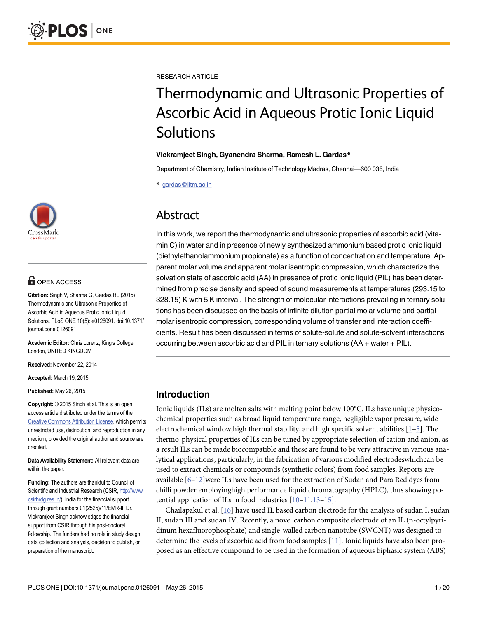

### **G** OPEN ACCESS

Citation: Singh V, Sharma G, Gardas RL (2015) Thermodynamic and Ultrasonic Properties of Ascorbic Acid in Aqueous Protic Ionic Liquid Solutions. PLoS ONE 10(5): e0126091. doi:10.1371/ journal.pone.0126091

Academic Editor: Chris Lorenz, King's College London, UNITED KINGDOM

Received: November 22, 2014

Accepted: March 19, 2015

Published: May 26, 2015

Copyright: © 2015 Singh et al. This is an open access article distributed under the terms of the [Creative Commons Attribution License,](http://creativecommons.org/licenses/by/4.0/) which permits unrestricted use, distribution, and reproduction in any medium, provided the original author and source are credited.

Data Availability Statement: All relevant data are within the paper.

Funding: The authors are thankful to Council of Scientific and Industrial Research (CSIR, [http://www.](http://www.csirhrdg.res.in/) [csirhrdg.res.in/\)](http://www.csirhrdg.res.in/), India for the financial support through grant numbers 01(2525)/11/EMR-II. Dr. Vickramjeet Singh acknowledges the financial support from CSIR through his post-doctoral fellowship. The funders had no role in study design. data collection and analysis, decision to publish, or preparation of the manuscript.

<span id="page-0-0"></span>RESEARCH ARTICLE

# Thermodynamic and Ultrasonic Properties of Ascorbic Acid in Aqueous Protic Ionic Liquid Solutions

#### Vickramjeet Singh, Gyanendra Sharma, Ramesh L. Gardas\*

Department of Chemistry, Indian Institute of Technology Madras, Chennai—600 036, India

\* gardas@iitm.ac.in

### Abstract

In this work, we report the thermodynamic and ultrasonic properties of ascorbic acid (vitamin C) in water and in presence of newly synthesized ammonium based protic ionic liquid (diethylethanolammonium propionate) as a function of concentration and temperature. Apparent molar volume and apparent molar isentropic compression, which characterize the solvation state of ascorbic acid (AA) in presence of protic ionic liquid (PIL) has been determined from precise density and speed of sound measurements at temperatures (293.15 to 328.15) K with 5 K interval. The strength of molecular interactions prevailing in ternary solutions has been discussed on the basis of infinite dilution partial molar volume and partial molar isentropic compression, corresponding volume of transfer and interaction coefficients. Result has been discussed in terms of solute-solute and solute-solvent interactions occurring between ascorbic acid and PIL in ternary solutions (AA + water + PIL).

### Introduction

Ionic liquids (ILs) are molten salts with melting point below 100°C. ILs have unique physicochemical properties such as broad liquid temperature range, negligible vapor pressure, wide electrochemical window,high thermal stability, and high specific solvent abilities  $[1-5]$  $[1-5]$  $[1-5]$ . The thermo-physical properties of ILs can be tuned by appropriate selection of cation and anion, as a result ILs can be made biocompatible and these are found to be very attractive in various analytical applications, particularly, in the fabrication of various modified electrodeswhichcan be used to extract chemicals or compounds (synthetic colors) from food samples. Reports are available [\[6](#page-16-0)–[12\]](#page-17-0)were ILs have been used for the extraction of Sudan and Para Red dyes from chilli powder employinghigh performance liquid chromatography (HPLC), thus showing potential application of ILs in food industries  $[10-11,13-15]$  $[10-11,13-15]$  $[10-11,13-15]$  $[10-11,13-15]$  $[10-11,13-15]$  $[10-11,13-15]$  $[10-11,13-15]$ .

Chailapakul et al.  $[16]$  have used IL based carbon electrode for the analysis of sudan I, sudan II, sudan III and sudan IV. Recently, a novel carbon composite electrode of an IL (n-octylpyridinum hexafluorophosphate) and single-walled carbon nanotube (SWCNT) was designed to determine the levels of ascorbic acid from food samples [\[11\]](#page-17-0). Ionic liquids have also been proposed as an effective compound to be used in the formation of aqueous biphasic system (ABS)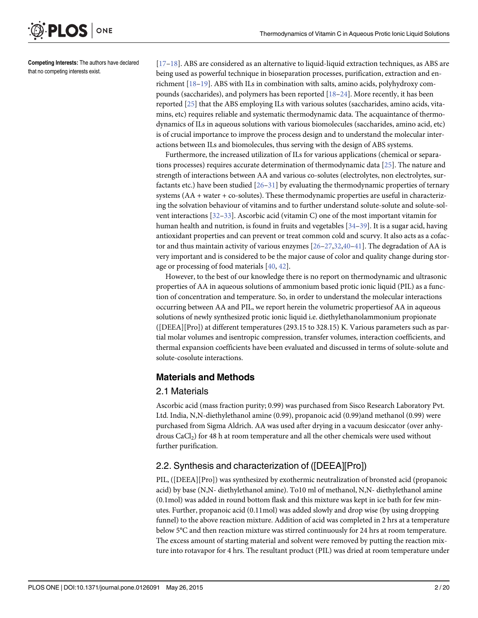<span id="page-1-0"></span>

Competing Interests: The authors have declared that no competing interests exist.

[\[17](#page-17-0)–[18\]](#page-17-0). ABS are considered as an alternative to liquid-liquid extraction techniques, as ABS are being used as powerful technique in bioseparation processes, purification, extraction and enrichment [\[18](#page-17-0)–[19](#page-17-0)]. ABS with ILs in combination with salts, amino acids, polyhydroxy compounds (saccharides), and polymers has been reported  $[18-24]$  $[18-24]$  $[18-24]$  $[18-24]$ . More recently, it has been reported [[25](#page-17-0)] that the ABS employing ILs with various solutes (saccharides, amino acids, vitamins, etc) requires reliable and systematic thermodynamic data. The acquaintance of thermodynamics of ILs in aqueous solutions with various biomolecules (saccharides, amino acid, etc) is of crucial importance to improve the process design and to understand the molecular interactions between ILs and biomolecules, thus serving with the design of ABS systems.

Furthermore, the increased utilization of ILs for various applications (chemical or separations processes) requires accurate determination of thermodynamic data [\[25](#page-17-0)]. The nature and strength of interactions between AA and various co-solutes (electrolytes, non electrolytes, surfactants etc.) have been studied [[26](#page-17-0)–[31](#page-17-0)] by evaluating the thermodynamic properties of ternary systems (AA + water + co-solutes). These thermodynamic properties are useful in characterizing the solvation behaviour of vitamins and to further understand solute-solute and solute-solvent interactions [\[32](#page-18-0)–[33](#page-18-0)]. Ascorbic acid (vitamin C) one of the most important vitamin for human health and nutrition, is found in fruits and vegetables [\[34](#page-18-0)–[39](#page-18-0)]. It is a sugar acid, having antioxidant properties and can prevent or treat common cold and scurvy. It also acts as a cofactor and thus maintain activity of various enzymes  $[26-27,32,40-41]$  $[26-27,32,40-41]$  $[26-27,32,40-41]$  $[26-27,32,40-41]$  $[26-27,32,40-41]$  $[26-27,32,40-41]$  $[26-27,32,40-41]$ . The degradation of AA is very important and is considered to be the major cause of color and quality change during storage or processing of food materials [\[40,](#page-18-0) [42\]](#page-18-0).

However, to the best of our knowledge there is no report on thermodynamic and ultrasonic properties of AA in aqueous solutions of ammonium based protic ionic liquid (PIL) as a function of concentration and temperature. So, in order to understand the molecular interactions occurring between AA and PIL, we report herein the volumetric propertiesof AA in aqueous solutions of newly synthesized protic ionic liquid i.e. diethylethanolammonium propionate ([DEEA][Pro]) at different temperatures (293.15 to 328.15) K. Various parameters such as partial molar volumes and isentropic compression, transfer volumes, interaction coefficients, and thermal expansion coefficients have been evaluated and discussed in terms of solute-solute and solute-cosolute interactions.

#### Materials and Methods

#### 2.1 Materials

Ascorbic acid (mass fraction purity; 0.99) was purchased from Sisco Research Laboratory Pvt. Ltd. India, N,N-diethylethanol amine (0.99), propanoic acid (0.99)and methanol (0.99) were purchased from Sigma Aldrich. AA was used after drying in a vacuum desiccator (over anhydrous  $CaCl<sub>2</sub>$ ) for 48 h at room temperature and all the other chemicals were used without further purification.

### 2.2. Synthesis and characterization of ([DEEA][Pro])

PIL, ([DEEA][Pro]) was synthesized by exothermic neutralization of bronsted acid (propanoic acid) by base (N,N- diethylethanol amine). To10 ml of methanol, N,N- diethylethanol amine (0.1mol) was added in round bottom flask and this mixture was kept in ice bath for few minutes. Further, propanoic acid (0.11mol) was added slowly and drop wise (by using dropping funnel) to the above reaction mixture. Addition of acid was completed in 2 hrs at a temperature below 5°C and then reaction mixture was stirred continuously for 24 hrs at room temperature. The excess amount of starting material and solvent were removed by putting the reaction mixture into rotavapor for 4 hrs. The resultant product (PIL) was dried at room temperature under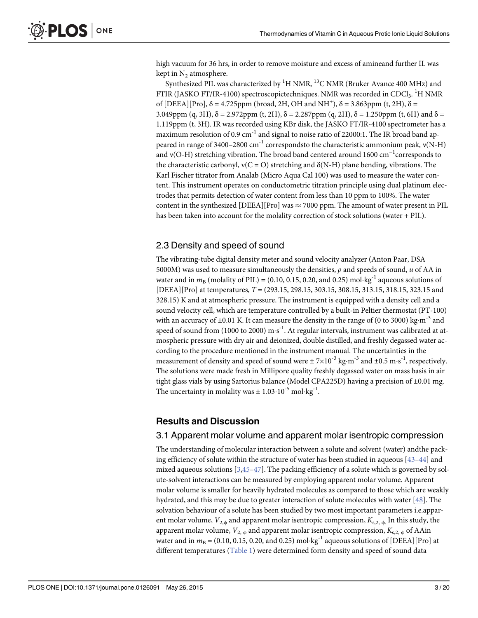<span id="page-2-0"></span>high vacuum for 36 hrs, in order to remove moisture and excess of amineand further IL was kept in  $N_2$  atmosphere.

Synthesized PIL was characterized by  $^1\mathrm{H}$  NMR,  $^{13}\mathrm{C}$  NMR (Bruker Avance 400 MHz) and FTIR (JASKO FT/IR-4100) spectroscopictechniques. NMR was recorded in CDCl<sub>3</sub>.  $^{\rm l}{\rm H}$  NMR of [DEEA][Pro],  $\delta = 4.725$ ppm (broad, 2H, OH and NH<sup>+</sup>),  $\delta = 3.863$ ppm (t, 2H),  $\delta =$ 3.049ppm (q, 3H),  $\delta = 2.972$ ppm (t, 2H),  $\delta = 2.287$ ppm (q, 2H),  $\delta = 1.250$ ppm (t, 6H) and  $\delta =$ 1.119ppm (t, 3H). IR was recorded using KBr disk, the JASKO FT/IR-4100 spectrometer has a maximum resolution of 0.9 cm<sup>-1</sup> and signal to noise ratio of 22000:1. The IR broad band appeared in range of 3400–2800 cm<sup>-1</sup> correspondsto the characteristic ammonium peak,  $v(N-H)$ and ν(O-H) stretching vibration. The broad band centered around 1600 cm−<sup>1</sup> corresponds to the characteristic carbonyl,  $v(C = O)$  stretching and  $\delta(N-H)$  plane bending, vibrations. The Karl Fischer titrator from Analab (Micro Aqua Cal 100) was used to measure the water content. This instrument operates on conductometric titration principle using dual platinum electrodes that permits detection of water content from less than 10 ppm to 100%. The water content in the synthesized [DEEA][Pro] was  $\approx$  7000 ppm. The amount of water present in PIL has been taken into account for the molality correction of stock solutions (water + PIL).

### 2.3 Density and speed of sound

The vibrating-tube digital density meter and sound velocity analyzer (Anton Paar, DSA 5000M) was used to measure simultaneously the densities,  $\rho$  and speeds of sound,  $u$  of AA in water and in  $m_B$  (molality of PIL) = (0.10, 0.15, 0.20, and 0.25) mol·kg<sup>-1</sup> aqueous solutions of [DEEA][Pro] at temperatures,  $T = (293.15, 298.15, 303.15, 308.15, 313.15, 318.15, 323.15, 313.15)$ 328.15) K and at atmospheric pressure. The instrument is equipped with a density cell and a sound velocity cell, which are temperature controlled by a built-in Peltier thermostat (PT-100) with an accuracy of  $\pm 0.01$  K. It can measure the density in the range of (0 to 3000) kg·m<sup>-3</sup> and speed of sound from (1000 to 2000)  $\text{m}\cdot\text{s}^{-1}$ . At regular intervals, instrument was calibrated at atmospheric pressure with dry air and deionized, double distilled, and freshly degassed water according to the procedure mentioned in the instrument manual. The uncertainties in the measurement of density and speed of sound were  $\pm$  7×10<sup>-3</sup> kg·m<sup>-3</sup> and  $\pm$ 0.5 m·s<sup>-1</sup>, respectively. The solutions were made fresh in Millipore quality freshly degassed water on mass basis in air tight glass vials by using Sartorius balance (Model CPA225D) having a precision of  $\pm 0.01$  mg. The uncertainty in molality was  $\pm 1.03 \cdot 10^{-5}$  mol $\text{kg}^{-1}$ .

### Results and Discussion

#### 3.1 Apparent molar volume and apparent molar isentropic compression

The understanding of molecular interaction between a solute and solvent (water) andthe packing efficiency of solute within the structure of water has been studied in aqueous  $[43-44]$  $[43-44]$  $[43-44]$  $[43-44]$  and mixed aqueous solutions  $[3,45-47]$  $[3,45-47]$  $[3,45-47]$  $[3,45-47]$ . The packing efficiency of a solute which is governed by solute-solvent interactions can be measured by employing apparent molar volume. Apparent molar volume is smaller for heavily hydrated molecules as compared to those which are weakly hydrated, and this may be due to greater interaction of solute molecules with water [\[48\]](#page-18-0). The solvation behaviour of a solute has been studied by two most important parameters i.e.apparent molar volume,  $V_{2,\phi}$  and apparent molar isentropic compression,  $K_{s,2,\phi}$ . In this study, the apparent molar volume,  $V_{2, \phi}$  and apparent molar isentropic compression,  $K_{s,2, \phi}$  of AAin water and in  $m_B = (0.10, 0.15, 0.20,$  and 0.25) mol·kg<sup>-1</sup> aqueous solutions of [DEEA][Pro] at different temperatures [\(Table 1\)](#page-3-0) were determined form density and speed of sound data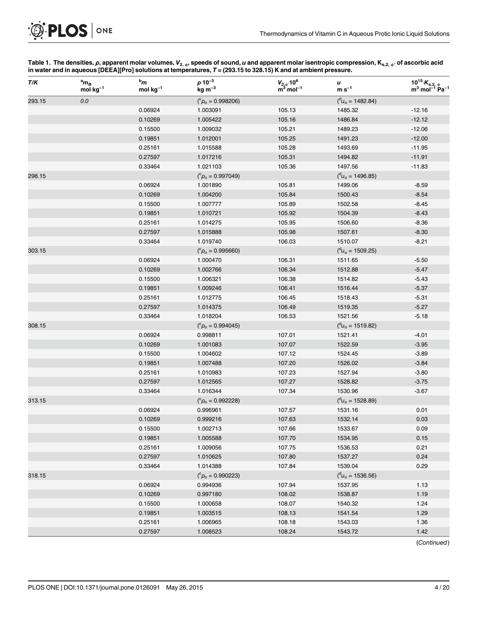## [Table 1.](#page-2-0) The densities,  $\rho,$  apparent molar volumes,  $V_{2,\,\Downarrow},$  speeds of sound,  $u$  and apparent molar isentropic compression,  $\mathsf{K}_{\mathbf{s},2,\,\Downarrow},$  of ascorbic acid

|        |                                              | $bm$            | $0.10^{-3}$                           |                                                                    |                                               |                                                                                  |
|--------|----------------------------------------------|-----------------|---------------------------------------|--------------------------------------------------------------------|-----------------------------------------------|----------------------------------------------------------------------------------|
| T/K    | $a_{\mathsf{m}_\mathsf{B}}$<br>mol $kg^{-1}$ | $mol$ $kg^{-1}$ | $\mathsf{kg}\!\cdot\!\mathsf{m}^{-3}$ | $V_{2,\phi}$ :10 <sup>6</sup><br>m <sup>3</sup> ·mol <sup>-1</sup> | u<br>$m·s-1$                                  | $\substack{10^{15} \cdot K_{s,2,\ \varphi} \\ m^3 \cdot mol^{-1} \cdot Pa^{-1}}$ |
| 293.15 | 0.0                                          |                 | $(^c\rho_o = 0.998206)$               |                                                                    | $\binom{d_{U_{\rm O}}}{d_{\rm O}}$ = 1482.84) |                                                                                  |
|        |                                              | 0.06924         | 1.003091                              | 105.13                                                             | 1485.32                                       | $-12.16$                                                                         |
|        |                                              | 0.10269         | 1.005422                              | 105.16                                                             | 1486.84                                       | $-12.12$                                                                         |
|        |                                              | 0.15500         | 1.009032                              | 105.21                                                             | 1489.23                                       | $-12.06$                                                                         |
|        |                                              | 0.19851         | 1.012001                              | 105.25                                                             | 1491.23                                       | $-12.00$                                                                         |
|        |                                              | 0.25161         | 1.015588                              | 105.28                                                             | 1493.69                                       | $-11.95$                                                                         |
|        |                                              | 0.27597         | 1.017216                              | 105.31                                                             | 1494.82                                       | $-11.91$                                                                         |
|        |                                              | 0.33464         | 1.021103                              | 105.36                                                             | 1497.56                                       | $-11.83$                                                                         |
| 298.15 |                                              |                 | $(^c\rho_o = 0.997049)$               |                                                                    | $\binom{d_{U_{\rm O}}}{d_{\rm O}}$ = 1496.85) |                                                                                  |
|        |                                              | 0.06924         | 1.001890                              | 105.81                                                             | 1499.06                                       | $-8.59$                                                                          |
|        |                                              | 0.10269         | 1.004200                              | 105.84                                                             | 1500.43                                       | $-8.54$                                                                          |
|        |                                              | 0.15500         | 1.007777                              | 105.89                                                             | 1502.58                                       | $-8.45$                                                                          |
|        |                                              | 0.19851         | 1.010721                              | 105.92                                                             | 1504.39                                       | $-8.43$                                                                          |
|        |                                              | 0.25161         | 1.014275                              | 105.95                                                             | 1506.60                                       | $-8.36$                                                                          |
|        |                                              | 0.27597         | 1.015888                              | 105.98                                                             | 1507.61                                       | $-8.30$                                                                          |
|        |                                              | 0.33464         | 1.019740                              | 106.03                                                             | 1510.07                                       | $-8.21$                                                                          |
| 303.15 |                                              |                 | $(^c\rho_o = 0.995660)$               |                                                                    | $\binom{d_{U_{\rm O}}}{d_{\rm O}}$ = 1509.25) |                                                                                  |
|        |                                              | 0.06924         | 1.000470                              | 106.31                                                             | 1511.65                                       | $-5.50$                                                                          |
|        |                                              | 0.10269         | 1.002766                              | 106.34                                                             | 1512.88                                       | $-5.47$                                                                          |
|        |                                              | 0.15500         | 1.006321                              | 106.38                                                             | 1514.82                                       | $-5.43$                                                                          |
|        |                                              | 0.19851         | 1.009246                              | 106.41                                                             | 1516.44                                       | $-5.37$                                                                          |
|        |                                              | 0.25161         | 1.012775                              | 106.45                                                             | 1518.43                                       | $-5.31$                                                                          |
|        |                                              | 0.27597         | 1.014375                              | 106.49                                                             | 1519.35                                       | $-5.27$                                                                          |
|        |                                              | 0.33464         | 1.018204                              | 106.53                                                             | 1521.56                                       | $-5.18$                                                                          |
| 308.15 |                                              |                 | $(^c\rho_o = 0.994045)$               |                                                                    | $\binom{d_{U_0}}{d_{U_0}}$ = 1519.82)         |                                                                                  |
|        |                                              | 0.06924         | 0.998811                              | 107.01                                                             | 1521.41                                       | $-4.01$                                                                          |
|        |                                              | 0.10269         | 1.001083                              | 107.07                                                             | 1522.59                                       | $-3.95$                                                                          |
|        |                                              | 0.15500         | 1.004602                              | 107.12                                                             | 1524.45                                       | $-3.89$                                                                          |
|        |                                              | 0.19851         | 1.007488                              | 107.20                                                             | 1526.02                                       | $-3.84$                                                                          |
|        |                                              | 0.25161         | 1.010983                              | 107.23                                                             | 1527.94                                       | $-3.80$                                                                          |
|        |                                              | 0.27597         | 1.012565                              | 107.27                                                             | 1528.82                                       | $-3.75$                                                                          |
|        |                                              | 0.33464         | 1.016344                              | 107.34                                                             | 1530.96                                       | $-3.67$                                                                          |
| 313.15 |                                              |                 | $(^c\rho_o = 0.992228)$               |                                                                    | $\binom{d_{U_0}}{d_{U_0}}$ = 1528.89)         |                                                                                  |
|        |                                              | 0.06924         | 0.996961                              | 107.57                                                             | 1531.16                                       | 0.01                                                                             |
|        |                                              | 0.10269         | 0.999216                              | 107.63                                                             | 1532.14                                       | 0.03                                                                             |
|        |                                              | 0.15500         | 1.002713                              | 107.66                                                             | 1533.67                                       | 0.09                                                                             |
|        |                                              | 0.19851         | 1.005588                              | 107.70                                                             | 1534.95                                       | 0.15                                                                             |
|        |                                              | 0.25161         | 1.009056                              | 107.75                                                             | 1536.53                                       | 0.21                                                                             |
|        |                                              | 0.27597         | 1.010625                              | 107.80                                                             | 1537.27                                       | 0.24                                                                             |
|        |                                              | 0.33464         | 1.014388                              | 107.84                                                             | 1539.04                                       | 0.29                                                                             |
| 318.15 |                                              |                 | $(^c\rho_o = 0.990223)$               |                                                                    | $({}^{d}U_{o} = 1536.56)$                     |                                                                                  |
|        |                                              | 0.06924         | 0.994936                              | 107.94                                                             | 1537.95                                       | 1.13                                                                             |
|        |                                              | 0.10269         | 0.997180                              | 108.02                                                             | 1538.87                                       | 1.19                                                                             |
|        |                                              | 0.15500         | 1.000658                              | 108.07                                                             | 1540.32                                       | 1.24                                                                             |
|        |                                              | 0.19851         | 1.003515                              | 108.13                                                             | 1541.54                                       | 1.29                                                                             |
|        |                                              | 0.25161         | 1.006965                              | 108.18                                                             | 1543.03                                       | 1.36                                                                             |
|        |                                              | 0.27597         | 1.008523                              | 108.24                                                             | 1543.72                                       | 1.42                                                                             |

(Continued)

PLOS ONE

<span id="page-3-0"></span> $\bigcirc$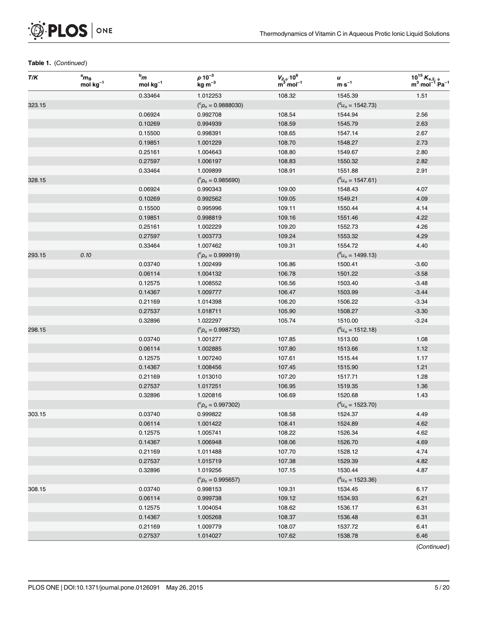

| T/K    | $a_{\mathbf{m}_B}$<br>$mol·kg-1$ | $^{\rm b}m$<br>$mol \cdot kg^{-1}$ | $\rho \cdot 10^{-3}$<br>$kg·m-3$ | $V_{2,\phi}$ 10 <sup>6</sup><br>m <sup>3</sup> mol <sup>-1</sup> | u<br>$m·s-1$                                  | $10^{15} K_{s,2, \phi}$<br>m <sup>3</sup> mol <sup>-1</sup> Pa <sup>-1</sup> |
|--------|----------------------------------|------------------------------------|----------------------------------|------------------------------------------------------------------|-----------------------------------------------|------------------------------------------------------------------------------|
|        |                                  | 0.33464                            | 1.012253                         | 108.32                                                           | 1545.39                                       | 1.51                                                                         |
| 323.15 |                                  |                                    | $(^c\rho_o = 0.9888030)$         |                                                                  | $(^d u_o = 1542.73)$                          |                                                                              |
|        |                                  | 0.06924                            | 0.992708                         | 108.54                                                           | 1544.94                                       | 2.56                                                                         |
|        |                                  | 0.10269                            | 0.994939                         | 108.59                                                           | 1545.79                                       | 2.63                                                                         |
|        |                                  | 0.15500                            | 0.998391                         | 108.65                                                           | 1547.14                                       | 2.67                                                                         |
|        |                                  | 0.19851                            | 1.001229                         | 108.70                                                           | 1548.27                                       | 2.73                                                                         |
|        |                                  | 0.25161                            | 1.004643                         | 108.80                                                           | 1549.67                                       | 2.80                                                                         |
|        |                                  | 0.27597                            | 1.006197                         | 108.83                                                           | 1550.32                                       | 2.82                                                                         |
|        |                                  | 0.33464                            | 1.009899                         | 108.91                                                           | 1551.88                                       | 2.91                                                                         |
| 328.15 |                                  |                                    | $(^c\rho_o = 0.985690)$          |                                                                  | $\binom{d}{v_0}$ = 1547.61)                   |                                                                              |
|        |                                  | 0.06924                            | 0.990343                         | 109.00                                                           | 1548.43                                       | 4.07                                                                         |
|        |                                  | 0.10269                            | 0.992562                         | 109.05                                                           | 1549.21                                       | 4.09                                                                         |
|        |                                  | 0.15500                            | 0.995996                         | 109.11                                                           | 1550.44                                       | 4.14                                                                         |
|        |                                  | 0.19851                            | 0.998819                         | 109.16                                                           | 1551.46                                       | 4.22                                                                         |
|        |                                  | 0.25161                            | 1.002229                         | 109.20                                                           | 1552.73                                       | 4.26                                                                         |
|        |                                  | 0.27597                            | 1.003773                         | 109.24                                                           | 1553.32                                       | 4.29                                                                         |
|        |                                  | 0.33464                            | 1.007462                         | 109.31                                                           | 1554.72                                       | 4.40                                                                         |
| 293.15 | 0.10                             |                                    | $(^c\rho_o = 0.999919)$          |                                                                  | $\binom{d_{U_{\rm O}}}{d_{\rm O}}$ = 1499.13) |                                                                              |
|        |                                  | 0.03740                            | 1.002499                         | 106.86                                                           | 1500.41                                       | $-3.60$                                                                      |
|        |                                  | 0.06114                            | 1.004132                         | 106.78                                                           | 1501.22                                       | $-3.58$                                                                      |
|        |                                  | 0.12575                            | 1.008552                         | 106.56                                                           | 1503.40                                       | $-3.48$                                                                      |
|        |                                  | 0.14367                            | 1.009777                         | 106.47                                                           | 1503.99                                       | $-3.44$                                                                      |
|        |                                  | 0.21169                            | 1.014398                         | 106.20                                                           | 1506.22                                       | $-3.34$                                                                      |
|        |                                  | 0.27537                            | 1.018711                         | 105.90                                                           | 1508.27                                       | $-3.30$                                                                      |
|        |                                  | 0.32896                            | 1.022297                         | 105.74                                                           | 1510.00                                       | $-3.24$                                                                      |
| 298.15 |                                  |                                    | $(^c\rho_o = 0.998732)$          |                                                                  | $\binom{d_{U_{\rm O}}}{d_{\rm O}}$ = 1512.18) |                                                                              |
|        |                                  | 0.03740                            | 1.001277                         | 107.85                                                           | 1513.00                                       | 1.08                                                                         |
|        |                                  | 0.06114                            | 1.002885                         | 107.80                                                           | 1513.66                                       | 1.12                                                                         |
|        |                                  | 0.12575                            | 1.007240                         | 107.61                                                           | 1515.44                                       | 1.17                                                                         |
|        |                                  | 0.14367                            | 1.008456                         | 107.45                                                           | 1515.90                                       | 1.21                                                                         |
|        |                                  | 0.21169                            | 1.013010                         | 107.20                                                           | 1517.71                                       | 1.28                                                                         |
|        |                                  | 0.27537                            | 1.017251                         | 106.95                                                           | 1519.35                                       | 1.36                                                                         |
|        |                                  | 0.32896                            | 1.020816                         | 106.69                                                           | 1520.68                                       | 1.43                                                                         |
|        |                                  |                                    | $(^c\rho_o = 0.997302)$          |                                                                  | $(^d u_o = 1523.70)$                          |                                                                              |
| 303.15 |                                  | 0.03740                            | 0.999822                         | 108.58                                                           | 1524.37                                       | 4.49                                                                         |
|        |                                  | 0.06114                            | 1.001422                         | 108.41                                                           | 1524.89                                       | 4.62                                                                         |
|        |                                  | 0.12575                            | 1.005741                         | 108.22                                                           | 1526.34                                       | 4.62                                                                         |
|        |                                  | 0.14367                            | 1.006948                         | 108.06                                                           | 1526.70                                       | 4.69                                                                         |
|        |                                  | 0.21169                            | 1.011488                         | 107.70                                                           | 1528.12                                       | 4.74                                                                         |
|        |                                  | 0.27537                            | 1.015719                         | 107.38                                                           | 1529.39                                       | 4.82                                                                         |
|        |                                  | 0.32896                            | 1.019256                         | 107.15                                                           | 1530.44                                       | 4.87                                                                         |
|        |                                  |                                    | $(^c\rho_o = 0.995657)$          |                                                                  | $\binom{d_{U_{\rm O}}}{d_{\rm O}}$ = 1523.36) |                                                                              |
| 308.15 |                                  | 0.03740                            | 0.998153                         | 109.31                                                           | 1534.45                                       | 6.17                                                                         |
|        |                                  | 0.06114                            | 0.999738                         | 109.12                                                           | 1534.93                                       | 6.21                                                                         |
|        |                                  | 0.12575                            | 1.004054                         | 108.62                                                           | 1536.17                                       | 6.31                                                                         |
|        |                                  | 0.14367                            | 1.005268                         | 108.37                                                           | 1536.48                                       | 6.31                                                                         |
|        |                                  | 0.21169                            | 1.009779                         | 108.07                                                           | 1537.72                                       | 6.41                                                                         |
|        |                                  | 0.27537                            | 1.014027                         | 107.62                                                           | 1538.78                                       | 6.46                                                                         |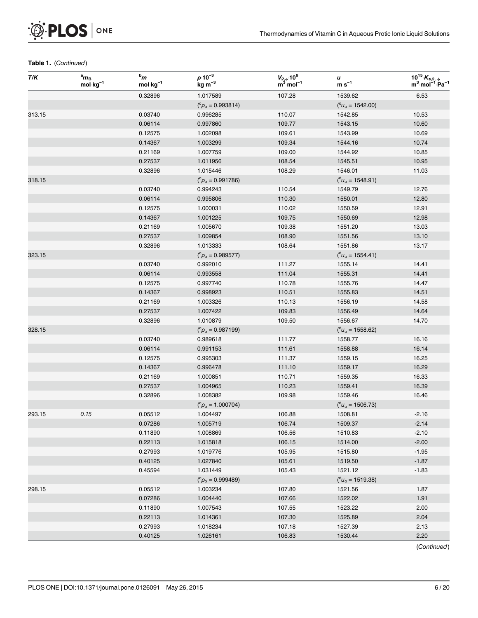

| T/K    | $a_{\mathbf{m}_B}$<br>$\overline{\text{mol}} \cdot \text{kg}^{-1}$ | $^{\rm b}m$<br>$mol·kg-1$ | $\rho \cdot 10^{-3}$<br>$\mathsf{kg}\!\cdot\!\mathsf{m}^{-3}$ | $V_{2,\phi}$ 10 <sup>6</sup><br>m <sup>3</sup> mol <sup>-1</sup> | u<br>$\mathbf{m}\!\cdot\!\mathbf{s}^{-1}$     | $10^{15} K_{s,2, \phi}$<br>m <sup>3</sup> mol <sup>-1</sup> Pa <sup>-1</sup> |
|--------|--------------------------------------------------------------------|---------------------------|---------------------------------------------------------------|------------------------------------------------------------------|-----------------------------------------------|------------------------------------------------------------------------------|
|        |                                                                    | 0.32896                   | 1.017589                                                      | 107.28                                                           | 1539.62                                       | 6.53                                                                         |
|        |                                                                    |                           | $(^c\rho_o = 0.993814)$                                       |                                                                  | $\binom{d_{U_{\rm O}}}{d_{\rm O}}$ = 1542.00) |                                                                              |
| 313.15 |                                                                    | 0.03740                   | 0.996285                                                      | 110.07                                                           | 1542.85                                       | 10.53                                                                        |
|        |                                                                    | 0.06114                   | 0.997860                                                      | 109.77                                                           | 1543.15                                       | 10.60                                                                        |
|        |                                                                    | 0.12575                   | 1.002098                                                      | 109.61                                                           | 1543.99                                       | 10.69                                                                        |
|        |                                                                    | 0.14367                   | 1.003299                                                      | 109.34                                                           | 1544.16                                       | 10.74                                                                        |
|        |                                                                    | 0.21169                   | 1.007759                                                      | 109.00                                                           | 1544.92                                       | 10.85                                                                        |
|        |                                                                    | 0.27537                   | 1.011956                                                      | 108.54                                                           | 1545.51                                       | 10.95                                                                        |
|        |                                                                    | 0.32896                   | 1.015446                                                      | 108.29                                                           | 1546.01                                       | 11.03                                                                        |
| 318.15 |                                                                    |                           | $(^c\rho_o = 0.991786)$                                       |                                                                  | $\binom{d_{U_{\rm O}}}{d_{\rm O}}$ = 1548.91) |                                                                              |
|        |                                                                    | 0.03740                   | 0.994243                                                      | 110.54                                                           | 1549.79                                       | 12.76                                                                        |
|        |                                                                    | 0.06114                   | 0.995806                                                      | 110.30                                                           | 1550.01                                       | 12.80                                                                        |
|        |                                                                    | 0.12575                   | 1.000031                                                      | 110.02                                                           | 1550.59                                       | 12.91                                                                        |
|        |                                                                    | 0.14367                   | 1.001225                                                      | 109.75                                                           | 1550.69                                       | 12.98                                                                        |
|        |                                                                    | 0.21169                   | 1.005670                                                      | 109.38                                                           | 1551.20                                       | 13.03                                                                        |
|        |                                                                    | 0.27537                   | 1.009854                                                      | 108.90                                                           | 1551.56                                       | 13.10                                                                        |
|        |                                                                    | 0.32896                   | 1.013333                                                      | 108.64                                                           | 1551.86                                       | 13.17                                                                        |
| 323.15 |                                                                    |                           | $(^c\rho_o = 0.989577)$                                       |                                                                  | $\binom{d_{U_{\rm O}}}{d_{\rm O}}$ = 1554.41) |                                                                              |
|        |                                                                    | 0.03740                   | 0.992010                                                      | 111.27                                                           | 1555.14                                       | 14.41                                                                        |
|        |                                                                    | 0.06114                   | 0.993558                                                      | 111.04                                                           | 1555.31                                       | 14.41                                                                        |
|        |                                                                    | 0.12575                   | 0.997740                                                      | 110.78                                                           | 1555.76                                       | 14.47                                                                        |
|        |                                                                    | 0.14367                   | 0.998923                                                      | 110.51                                                           | 1555.83                                       | 14.51                                                                        |
|        |                                                                    | 0.21169                   | 1.003326                                                      | 110.13                                                           | 1556.19                                       | 14.58                                                                        |
|        |                                                                    | 0.27537                   | 1.007422                                                      | 109.83                                                           | 1556.49                                       | 14.64                                                                        |
|        |                                                                    | 0.32896                   | 1.010879                                                      | 109.50                                                           | 1556.67                                       | 14.70                                                                        |
| 328.15 |                                                                    |                           | $(^c\rho_o = 0.987199)$                                       |                                                                  | $(^d u_o = 1558.62)$                          |                                                                              |
|        |                                                                    | 0.03740                   | 0.989618                                                      | 111.77                                                           | 1558.77                                       | 16.16                                                                        |
|        |                                                                    | 0.06114                   | 0.991153                                                      | 111.61                                                           | 1558.88                                       | 16.14                                                                        |
|        |                                                                    | 0.12575                   | 0.995303                                                      | 111.37                                                           | 1559.15                                       | 16.25                                                                        |
|        |                                                                    | 0.14367                   | 0.996478                                                      | 111.10                                                           | 1559.17                                       | 16.29                                                                        |
|        |                                                                    | 0.21169                   | 1.000851                                                      | 110.71                                                           | 1559.35                                       | 16.33                                                                        |
|        |                                                                    | 0.27537                   | 1.004965                                                      | 110.23                                                           | 1559.41                                       | 16.39                                                                        |
|        |                                                                    | 0.32896                   | 1.008382                                                      | 109.98                                                           | 1559.46                                       | 16.46                                                                        |
|        |                                                                    |                           | $(^c\rho_o = 1.000704)$                                       |                                                                  | $(^d u_o = 1506.73)$                          |                                                                              |
| 293.15 | 0.15                                                               | 0.05512                   | 1.004497                                                      | 106.88                                                           | 1508.81                                       | $-2.16$                                                                      |
|        |                                                                    | 0.07286                   | 1.005719                                                      | 106.74                                                           | 1509.37                                       | $-2.14$                                                                      |
|        |                                                                    | 0.11890                   | 1.008869                                                      | 106.56                                                           | 1510.83                                       | $-2.10$                                                                      |
|        |                                                                    | 0.22113                   | 1.015818                                                      | 106.15                                                           | 1514.00                                       | $-2.00$                                                                      |
|        |                                                                    | 0.27993                   | 1.019776                                                      | 105.95                                                           | 1515.80                                       | $-1.95$                                                                      |
|        |                                                                    | 0.40125                   | 1.027840                                                      | 105.61                                                           | 1519.50                                       | $-1.87$                                                                      |
|        |                                                                    | 0.45594                   | 1.031449                                                      | 105.43                                                           | 1521.12                                       | $-1.83$                                                                      |
|        |                                                                    |                           | $(^c\rho_o = 0.999489)$                                       |                                                                  | $\binom{d_{U_{\rm O}}}{d_{\rm O}}$ = 1519.38) |                                                                              |
| 298.15 |                                                                    | 0.05512                   | 1.003234                                                      | 107.80                                                           | 1521.56                                       | 1.87                                                                         |
|        |                                                                    | 0.07286                   | 1.004440                                                      | 107.66                                                           | 1522.02                                       | 1.91                                                                         |
|        |                                                                    | 0.11890                   | 1.007543                                                      | 107.55                                                           | 1523.22                                       | 2.00                                                                         |
|        |                                                                    | 0.22113                   | 1.014361                                                      | 107.30                                                           | 1525.89                                       | 2.04                                                                         |
|        |                                                                    |                           |                                                               |                                                                  |                                               | 2.13                                                                         |
|        |                                                                    |                           |                                                               |                                                                  |                                               | 2.20                                                                         |
|        |                                                                    | 0.27993<br>0.40125        | 1.018234<br>1.026161                                          | 107.18<br>106.83                                                 | 1527.39<br>1530.44                            |                                                                              |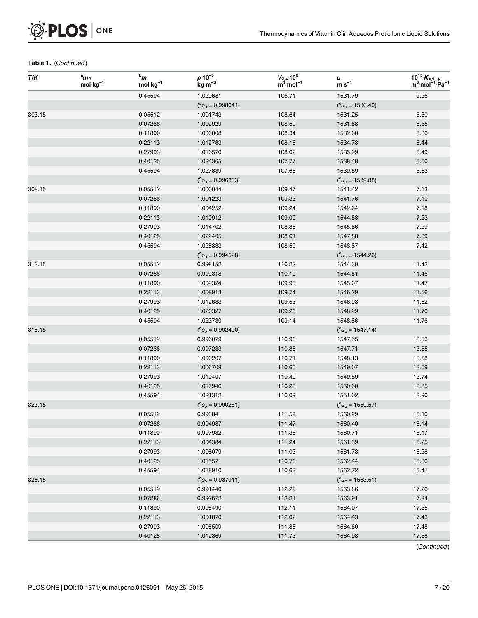

| T/K    | $a_{\mathbf{m}_B}$<br>$mol·kg-1$ | $^{\rm b}m$<br>$mol \cdot kg^{-1}$ | $\rho \cdot 10^{-3}$<br>$\rm kg\cdot m^{-3}$ | $V_{2,\phi}$ 10 <sup>6</sup><br>m <sup>3</sup> mol <sup>-1</sup> | u<br>$m·s-1$                                  | $10^{15} K_{s,2, \phi}$<br>m <sup>3</sup> mol <sup>-1</sup> Pa <sup>-1</sup> |
|--------|----------------------------------|------------------------------------|----------------------------------------------|------------------------------------------------------------------|-----------------------------------------------|------------------------------------------------------------------------------|
|        |                                  | 0.45594                            | 1.029681                                     | 106.71                                                           | 1531.79                                       | 2.26                                                                         |
|        |                                  |                                    | $(^c\rho_o = 0.998041)$                      |                                                                  | $(^d u_{o} = 1530.40)$                        |                                                                              |
| 303.15 |                                  | 0.05512                            | 1.001743                                     | 108.64                                                           | 1531.25                                       | 5.30                                                                         |
|        |                                  | 0.07286                            | 1.002929                                     | 108.59                                                           | 1531.63                                       | 5.35                                                                         |
|        |                                  | 0.11890                            | 1.006008                                     | 108.34                                                           | 1532.60                                       | 5.36                                                                         |
|        |                                  | 0.22113                            | 1.012733                                     | 108.18                                                           | 1534.78                                       | 5.44                                                                         |
|        |                                  | 0.27993                            | 1.016570                                     | 108.02                                                           | 1535.99                                       | 5.49                                                                         |
|        |                                  | 0.40125                            | 1.024365                                     | 107.77                                                           | 1538.48                                       | 5.60                                                                         |
|        |                                  | 0.45594                            | 1.027839                                     | 107.65                                                           | 1539.59                                       | 5.63                                                                         |
|        |                                  |                                    | $(^c\rho_o = 0.996383)$                      |                                                                  | $({}^{\rm d}U_{\rm o} = 1539.88)$             |                                                                              |
| 308.15 |                                  | 0.05512                            | 1.000044                                     | 109.47                                                           | 1541.42                                       | 7.13                                                                         |
|        |                                  | 0.07286                            | 1.001223                                     | 109.33                                                           | 1541.76                                       | 7.10                                                                         |
|        |                                  | 0.11890                            | 1.004252                                     | 109.24                                                           | 1542.64                                       | 7.18                                                                         |
|        |                                  | 0.22113                            | 1.010912                                     | 109.00                                                           | 1544.58                                       | 7.23                                                                         |
|        |                                  | 0.27993                            | 1.014702                                     | 108.85                                                           | 1545.66                                       | 7.29                                                                         |
|        |                                  | 0.40125                            | 1.022405                                     | 108.61                                                           | 1547.88                                       | 7.39                                                                         |
|        |                                  | 0.45594                            | 1.025833                                     | 108.50                                                           | 1548.87                                       | 7.42                                                                         |
|        |                                  |                                    | $(^c\rho_o = 0.994528)$                      |                                                                  | $(^d u_o = 1544.26)$                          |                                                                              |
| 313.15 |                                  | 0.05512                            | 0.998152                                     | 110.22                                                           | 1544.30                                       | 11.42                                                                        |
|        |                                  | 0.07286                            | 0.999318                                     | 110.10                                                           | 1544.51                                       | 11.46                                                                        |
|        |                                  | 0.11890                            | 1.002324                                     | 109.95                                                           | 1545.07                                       | 11.47                                                                        |
|        |                                  | 0.22113                            | 1.008913                                     | 109.74                                                           | 1546.29                                       | 11.56                                                                        |
|        |                                  | 0.27993                            | 1.012683                                     | 109.53                                                           | 1546.93                                       | 11.62                                                                        |
|        |                                  | 0.40125                            | 1.020327                                     | 109.26                                                           | 1548.29                                       | 11.70                                                                        |
|        |                                  | 0.45594                            | 1.023730                                     | 109.14                                                           | 1548.86                                       | 11.76                                                                        |
| 318.15 |                                  |                                    | $(^c\rho_o = 0.992490)$                      |                                                                  | $\binom{d_{U_{\rm O}}}{d_{\rm O}}$ = 1547.14) |                                                                              |
|        |                                  | 0.05512                            | 0.996079                                     | 110.96                                                           | 1547.55                                       | 13.53                                                                        |
|        |                                  | 0.07286                            | 0.997233                                     | 110.85                                                           | 1547.71                                       | 13.55                                                                        |
|        |                                  | 0.11890                            | 1.000207                                     | 110.71                                                           | 1548.13                                       | 13.58                                                                        |
|        |                                  | 0.22113                            | 1.006709                                     | 110.60                                                           | 1549.07                                       | 13.69                                                                        |
|        |                                  | 0.27993                            | 1.010407                                     | 110.49                                                           | 1549.59                                       | 13.74                                                                        |
|        |                                  | 0.40125                            | 1.017946                                     | 110.23                                                           | 1550.60                                       | 13.85                                                                        |
|        |                                  | 0.45594                            | 1.021312                                     | 110.09                                                           | 1551.02                                       | 13.90                                                                        |
| 323.15 |                                  |                                    | $(^c\rho_o = 0.990281)$                      |                                                                  | $(^d u_o = 1559.57)$                          |                                                                              |
|        |                                  | 0.05512                            | 0.993841                                     | 111.59                                                           | 1560.29                                       | 15.10                                                                        |
|        |                                  | 0.07286                            | 0.994987                                     | 111.47                                                           | 1560.40                                       | 15.14                                                                        |
|        |                                  | 0.11890                            | 0.997932                                     | 111.38                                                           | 1560.71                                       | 15.17                                                                        |
|        |                                  | 0.22113                            | 1.004384                                     | 111.24                                                           | 1561.39                                       | 15.25                                                                        |
|        |                                  | 0.27993                            | 1.008079                                     | 111.03                                                           | 1561.73                                       | 15.28                                                                        |
|        |                                  | 0.40125                            | 1.015571                                     | 110.76                                                           | 1562.44                                       | 15.36                                                                        |
|        |                                  | 0.45594                            | 1.018910                                     | 110.63                                                           | 1562.72                                       | 15.41                                                                        |
| 328.15 |                                  |                                    | $(^c\rho_o = 0.987911)$                      |                                                                  | $\binom{d_{U_{\rm O}}}{d_{\rm O}}$ = 1563.51) |                                                                              |
|        |                                  | 0.05512                            | 0.991440                                     | 112.29                                                           | 1563.86                                       | 17.26                                                                        |
|        |                                  | 0.07286                            | 0.992572                                     | 112.21                                                           | 1563.91                                       | 17.34                                                                        |
|        |                                  | 0.11890                            | 0.995490                                     | 112.11                                                           | 1564.07                                       | 17.35                                                                        |
|        |                                  | 0.22113                            | 1.001870                                     | 112.02                                                           | 1564.43                                       | 17.43                                                                        |
|        |                                  | 0.27993                            | 1.005509                                     | 111.88                                                           | 1564.60                                       | 17.48                                                                        |
|        |                                  | 0.40125                            | 1.012869                                     | 111.73                                                           | 1564.98                                       | 17.58                                                                        |
|        |                                  |                                    |                                              |                                                                  |                                               |                                                                              |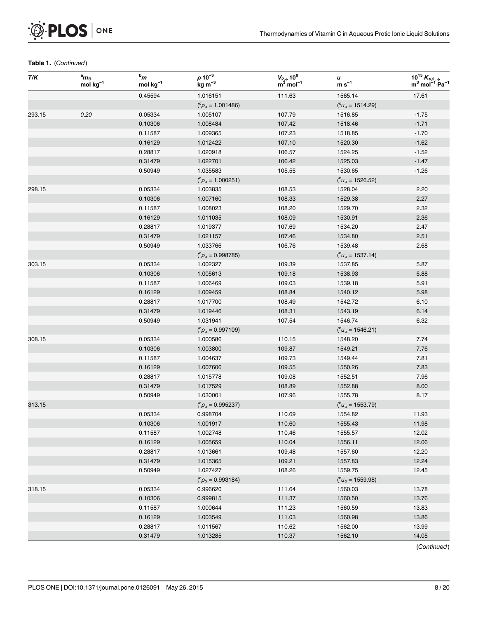

| T/K    | $\mathbf{a}_{m_{\rm B}}$<br>$mol·kg-1$ | $^{\rm b}m$<br>$mol·kg-1$ | $\rho \cdot 10^{-3}$<br>$kg m^{-3}$ | $V_{2,\phi}$ :10 <sup>6</sup><br>m <sup>3</sup> ·mol <sup>-1</sup> | u<br>$\mathbf{m}\!\cdot\!\mathbf{s}^{-1}$     | $10^{15} K_{s,2, \phi}$<br>m <sup>3</sup> mol <sup>-1</sup> Pa <sup>-1</sup> |
|--------|----------------------------------------|---------------------------|-------------------------------------|--------------------------------------------------------------------|-----------------------------------------------|------------------------------------------------------------------------------|
|        |                                        | 0.45594                   | 1.016151                            | 111.63                                                             | 1565.14                                       | 17.61                                                                        |
|        |                                        |                           | $(^c\rho_o = 1.001486)$             |                                                                    | $\binom{d_{U_{\rm O}}}{d_{\rm O}}$ = 1514.29) |                                                                              |
| 293.15 | 0.20                                   | 0.05334                   | 1.005107                            | 107.79                                                             | 1516.85                                       | $-1.75$                                                                      |
|        |                                        | 0.10306                   | 1.008484                            | 107.42                                                             | 1518.46                                       | $-1.71$                                                                      |
|        |                                        | 0.11587                   | 1.009365                            | 107.23                                                             | 1518.85                                       | $-1.70$                                                                      |
|        |                                        | 0.16129                   | 1.012422                            | 107.10                                                             | 1520.30                                       | $-1.62$                                                                      |
|        |                                        | 0.28817                   | 1.020918                            | 106.57                                                             | 1524.25                                       | $-1.52$                                                                      |
|        |                                        | 0.31479                   | 1.022701                            | 106.42                                                             | 1525.03                                       | $-1.47$                                                                      |
|        |                                        | 0.50949                   | 1.035583                            | 105.55                                                             | 1530.65                                       | $-1.26$                                                                      |
|        |                                        |                           | $(^c \rho_o = 1.000251)$            |                                                                    | $(^d u_o = 1526.52)$                          |                                                                              |
| 298.15 |                                        | 0.05334                   | 1.003835                            | 108.53                                                             | 1528.04                                       | 2.20                                                                         |
|        |                                        | 0.10306                   | 1.007160                            | 108.33                                                             | 1529.38                                       | 2.27                                                                         |
|        |                                        | 0.11587                   | 1.008023                            | 108.20                                                             | 1529.70                                       | 2.32                                                                         |
|        |                                        | 0.16129                   | 1.011035                            | 108.09                                                             | 1530.91                                       | 2.36                                                                         |
|        |                                        | 0.28817                   | 1.019377                            | 107.69                                                             | 1534.20                                       | 2.47                                                                         |
|        |                                        | 0.31479                   | 1.021157                            | 107.46                                                             | 1534.80                                       | 2.51                                                                         |
|        |                                        | 0.50949                   | 1.033766                            | 106.76                                                             | 1539.48                                       | 2.68                                                                         |
|        |                                        |                           | $(^c\rho_o = 0.998785)$             |                                                                    | $({}^{\rm d}U_{\rm o} = 1537.14)$             |                                                                              |
| 303.15 |                                        | 0.05334                   | 1.002327                            | 109.39                                                             | 1537.85                                       | 5.87                                                                         |
|        |                                        | 0.10306                   | 1.005613                            | 109.18                                                             | 1538.93                                       | 5.88                                                                         |
|        |                                        | 0.11587                   | 1.006469                            | 109.03                                                             | 1539.18                                       | 5.91                                                                         |
|        |                                        | 0.16129                   | 1.009459                            | 108.84                                                             | 1540.12                                       | 5.98                                                                         |
|        |                                        | 0.28817                   | 1.017700                            | 108.49                                                             | 1542.72                                       | 6.10                                                                         |
|        |                                        | 0.31479                   | 1.019446                            | 108.31                                                             | 1543.19                                       | 6.14                                                                         |
|        |                                        | 0.50949                   | 1.031941                            | 107.54                                                             | 1546.74                                       | 6.32                                                                         |
|        |                                        |                           | $(^c\rho_o = 0.997109)$             |                                                                    | $(^d u_o = 1546.21)$                          |                                                                              |
| 308.15 |                                        | 0.05334                   | 1.000586                            | 110.15                                                             | 1548.20                                       | 7.74                                                                         |
|        |                                        | 0.10306                   | 1.003800                            | 109.87                                                             | 1549.21                                       | 7.76                                                                         |
|        |                                        | 0.11587                   | 1.004637                            | 109.73                                                             | 1549.44                                       | 7.81                                                                         |
|        |                                        | 0.16129                   | 1.007606                            | 109.55                                                             | 1550.26                                       | 7.83                                                                         |
|        |                                        | 0.28817                   | 1.015778                            | 109.08                                                             | 1552.51                                       | 7.96                                                                         |
|        |                                        | 0.31479                   | 1.017529                            | 108.89                                                             | 1552.88                                       | 8.00                                                                         |
|        |                                        | 0.50949                   | 1.030001                            | 107.96                                                             | 1555.78                                       | 8.17                                                                         |
| 313.15 |                                        |                           | $(^c\rho_o = 0.995237)$             |                                                                    | $(^d u_o = 1553.79)$                          |                                                                              |
|        |                                        | 0.05334                   | 0.998704                            | 110.69                                                             | 1554.82                                       | 11.93                                                                        |
|        |                                        | 0.10306                   | 1.001917                            | 110.60                                                             | 1555.43                                       | 11.98                                                                        |
|        |                                        | 0.11587                   | 1.002748                            | 110.46                                                             | 1555.57                                       | 12.02                                                                        |
|        |                                        | 0.16129                   | 1.005659                            | 110.04                                                             | 1556.11                                       | 12.06                                                                        |
|        |                                        | 0.28817                   | 1.013661                            | 109.48                                                             | 1557.60                                       | 12.20                                                                        |
|        |                                        | 0.31479                   | 1.015365                            | 109.21                                                             | 1557.83                                       | 12.24                                                                        |
|        |                                        | 0.50949                   | 1.027427                            | 108.26                                                             | 1559.75                                       | 12.45                                                                        |
|        |                                        |                           | $(^c\rho_o = 0.993184)$             |                                                                    | $(^d u_o = 1559.98)$                          |                                                                              |
| 318.15 |                                        | 0.05334                   | 0.996620                            | 111.64                                                             | 1560.03                                       | 13.78                                                                        |
|        |                                        | 0.10306                   | 0.999815                            | 111.37                                                             | 1560.50                                       | 13.76                                                                        |
|        |                                        | 0.11587                   | 1.000644                            | 111.23                                                             | 1560.59                                       | 13.83                                                                        |
|        |                                        | 0.16129                   | 1.003549                            | 111.03                                                             | 1560.98                                       | 13.86                                                                        |
|        |                                        | 0.28817                   | 1.011567                            | 110.62                                                             | 1562.00                                       | 13.99                                                                        |
|        |                                        | 0.31479                   | 1.013285                            | 110.37                                                             | 1562.10                                       | 14.05                                                                        |
|        |                                        |                           |                                     |                                                                    |                                               |                                                                              |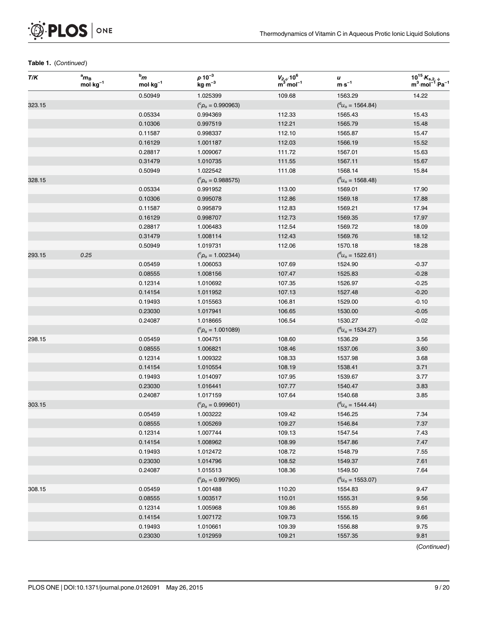

| T/K    | $a_{\mathbf{m}_\mathbf{B}}$<br>$mol·kg-1$ | $^{\rm b}m$<br>$mol \cdot kg^{-1}$ | $\rho \cdot 10^{-3}$<br>$\rm kg\cdot m^{-3}$ | $V_{2,\phi}$ 10 <sup>6</sup><br>m <sup>3</sup> mol <sup>-1</sup> | u<br>$m·s-1$                                  | $10^{15} K_{s,2, \phi}$<br>m <sup>3</sup> mol <sup>-1</sup> Pa <sup>-1</sup> |
|--------|-------------------------------------------|------------------------------------|----------------------------------------------|------------------------------------------------------------------|-----------------------------------------------|------------------------------------------------------------------------------|
|        |                                           | 0.50949                            | 1.025399                                     | 109.68                                                           | 1563.29                                       | 14.22                                                                        |
| 323.15 |                                           |                                    | $(^c\rho_o = 0.990963)$                      |                                                                  | $(^d u_{o} = 1564.84)$                        |                                                                              |
|        |                                           | 0.05334                            | 0.994369                                     | 112.33                                                           | 1565.43                                       | 15.43                                                                        |
|        |                                           | 0.10306                            | 0.997519                                     | 112.21                                                           | 1565.79                                       | 15.48                                                                        |
|        |                                           | 0.11587                            | 0.998337                                     | 112.10                                                           | 1565.87                                       | 15.47                                                                        |
|        |                                           | 0.16129                            | 1.001187                                     | 112.03                                                           | 1566.19                                       | 15.52                                                                        |
|        |                                           | 0.28817                            | 1.009067                                     | 111.72                                                           | 1567.01                                       | 15.63                                                                        |
|        |                                           | 0.31479                            | 1.010735                                     | 111.55                                                           | 1567.11                                       | 15.67                                                                        |
|        |                                           | 0.50949                            | 1.022542                                     | 111.08                                                           | 1568.14                                       | 15.84                                                                        |
| 328.15 |                                           |                                    | $(^c\rho_o = 0.988575)$                      |                                                                  | $\binom{d_{U_{\rm O}}}{d_{\rm O}}$ = 1568.48) |                                                                              |
|        |                                           | 0.05334                            | 0.991952                                     | 113.00                                                           | 1569.01                                       | 17.90                                                                        |
|        |                                           | 0.10306                            | 0.995078                                     | 112.86                                                           | 1569.18                                       | 17.88                                                                        |
|        |                                           | 0.11587                            | 0.995879                                     | 112.83                                                           | 1569.21                                       | 17.94                                                                        |
|        |                                           | 0.16129                            | 0.998707                                     | 112.73                                                           | 1569.35                                       | 17.97                                                                        |
|        |                                           | 0.28817                            | 1.006483                                     | 112.54                                                           | 1569.72                                       | 18.09                                                                        |
|        |                                           | 0.31479                            | 1.008114                                     | 112.43                                                           | 1569.76                                       | 18.12                                                                        |
|        |                                           | 0.50949                            | 1.019731                                     | 112.06                                                           | 1570.18                                       | 18.28                                                                        |
| 293.15 | 0.25                                      |                                    | $(^c\rho_o = 1.002344)$                      |                                                                  | $\binom{d_{U_{\rm O}}}{d_{\rm O}}$ = 1522.61) |                                                                              |
|        |                                           | 0.05459                            | 1.006053                                     | 107.69                                                           | 1524.90                                       | $-0.37$                                                                      |
|        |                                           | 0.08555                            | 1.008156                                     | 107.47                                                           | 1525.83                                       | $-0.28$                                                                      |
|        |                                           | 0.12314                            | 1.010692                                     | 107.35                                                           | 1526.97                                       | $-0.25$                                                                      |
|        |                                           | 0.14154                            | 1.011952                                     | 107.13                                                           | 1527.48                                       | $-0.20$                                                                      |
|        |                                           | 0.19493                            | 1.015563                                     | 106.81                                                           | 1529.00                                       | $-0.10$                                                                      |
|        |                                           | 0.23030                            | 1.017941                                     | 106.65                                                           | 1530.00                                       | $-0.05$                                                                      |
|        |                                           | 0.24087                            | 1.018665                                     | 106.54                                                           | 1530.27                                       | $-0.02$                                                                      |
|        |                                           |                                    | $(^c\rho_o = 1.001089)$                      |                                                                  | $(^d u_{o} = 1534.27)$                        |                                                                              |
| 298.15 |                                           | 0.05459                            | 1.004751                                     | 108.60                                                           | 1536.29                                       | 3.56                                                                         |
|        |                                           | 0.08555                            | 1.006821                                     | 108.46                                                           | 1537.06                                       | 3.60                                                                         |
|        |                                           | 0.12314                            | 1.009322                                     | 108.33                                                           | 1537.98                                       | 3.68                                                                         |
|        |                                           | 0.14154                            | 1.010554                                     | 108.19                                                           | 1538.41                                       | 3.71                                                                         |
|        |                                           | 0.19493                            | 1.014097                                     | 107.95                                                           | 1539.67                                       | 3.77                                                                         |
|        |                                           | 0.23030                            | 1.016441                                     | 107.77                                                           | 1540.47                                       | 3.83                                                                         |
|        |                                           | 0.24087                            | 1.017159                                     | 107.64                                                           | 1540.68                                       | 3.85                                                                         |
| 303.15 |                                           |                                    | $(^c\rho_0 = 0.999601)$                      |                                                                  | $\binom{d_{U_{\rm O}}}{d_{\rm O}}$ = 1544.44) |                                                                              |
|        |                                           | 0.05459                            | 1.003222                                     | 109.42                                                           | 1546.25                                       | 7.34                                                                         |
|        |                                           | 0.08555                            | 1.005269                                     | 109.27                                                           | 1546.84                                       | 7.37                                                                         |
|        |                                           | 0.12314                            | 1.007744                                     | 109.13                                                           | 1547.54                                       | 7.43                                                                         |
|        |                                           | 0.14154                            | 1.008962                                     | 108.99                                                           | 1547.86                                       | 7.47                                                                         |
|        |                                           | 0.19493                            | 1.012472                                     | 108.72                                                           | 1548.79                                       | 7.55                                                                         |
|        |                                           | 0.23030                            | 1.014796                                     | 108.52                                                           | 1549.37                                       | 7.61                                                                         |
|        |                                           | 0.24087                            | 1.015513                                     | 108.36                                                           | 1549.50                                       | 7.64                                                                         |
|        |                                           |                                    | $(^c\rho_o = 0.997905)$                      |                                                                  | $(^d u_o = 1553.07)$                          |                                                                              |
| 308.15 |                                           | 0.05459                            | 1.001488                                     | 110.20                                                           | 1554.83                                       | 9.47                                                                         |
|        |                                           | 0.08555                            | 1.003517                                     | 110.01                                                           | 1555.31                                       | 9.56                                                                         |
|        |                                           | 0.12314                            | 1.005968                                     | 109.86                                                           | 1555.89                                       | 9.61                                                                         |
|        |                                           | 0.14154                            | 1.007172                                     | 109.73                                                           | 1556.15                                       | 9.66                                                                         |
|        |                                           | 0.19493                            | 1.010661                                     | 109.39                                                           | 1556.88                                       | 9.75                                                                         |
|        |                                           | 0.23030                            | 1.012959                                     | 109.21                                                           | 1557.35                                       | 9.81                                                                         |
|        |                                           |                                    |                                              |                                                                  |                                               |                                                                              |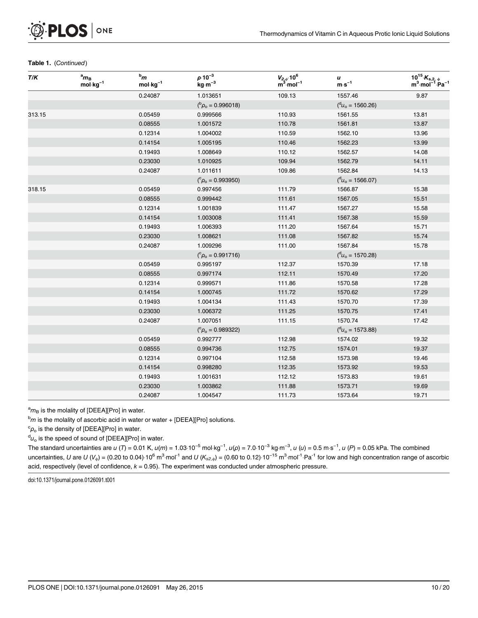| T/K    | $a_{\mathbf{m}_\mathbf{B}}$<br>$mol·kg-1$ | $bm$<br>$mol \cdot kg^{-1}$ | $\rho \cdot 10^{-3}$<br>$\text{kg}\cdot\text{m}^{-3}$ | $V_{2,\phi}$ :10 <sup>6</sup><br>m <sup>3</sup> ·mol <sup>-1</sup> | u<br>$\mathbf{m}{\cdot}\mathbf{s}^{-1}$ | $10^{15} K_{s,2, \phi}$<br>$m^3$ mol <sup>-1</sup> Pa <sup>-1</sup> |
|--------|-------------------------------------------|-----------------------------|-------------------------------------------------------|--------------------------------------------------------------------|-----------------------------------------|---------------------------------------------------------------------|
|        |                                           | 0.24087                     | 1.013651                                              | 109.13                                                             | 1557.46                                 | 9.87                                                                |
|        |                                           |                             | $(^{b} \rho_{o} = 0.996018)$                          |                                                                    | $(^d u_o = 1560.26)$                    |                                                                     |
| 313.15 |                                           | 0.05459                     | 0.999566                                              | 110.93                                                             | 1561.55                                 | 13.81                                                               |
|        |                                           | 0.08555                     | 1.001572                                              | 110.78                                                             | 1561.81                                 | 13.87                                                               |
|        |                                           | 0.12314                     | 1.004002                                              | 110.59                                                             | 1562.10                                 | 13.96                                                               |
|        |                                           | 0.14154                     | 1.005195                                              | 110.46                                                             | 1562.23                                 | 13.99                                                               |
|        |                                           | 0.19493                     | 1.008649                                              | 110.12                                                             | 1562.57                                 | 14.08                                                               |
|        |                                           | 0.23030                     | 1.010925                                              | 109.94                                                             | 1562.79                                 | 14.11                                                               |
|        |                                           | 0.24087                     | 1.011611                                              | 109.86                                                             | 1562.84                                 | 14.13                                                               |
|        |                                           |                             | $(^c\rho_o = 0.993950)$                               |                                                                    | $(^d u_{o} = 1566.07)$                  |                                                                     |
| 318.15 |                                           | 0.05459                     | 0.997456                                              | 111.79                                                             | 1566.87                                 | 15.38                                                               |
|        |                                           | 0.08555                     | 0.999442                                              | 111.61                                                             | 1567.05                                 | 15.51                                                               |
|        |                                           | 0.12314                     | 1.001839                                              | 111.47                                                             | 1567.27                                 | 15.58                                                               |
|        |                                           | 0.14154                     | 1.003008                                              | 111.41                                                             | 1567.38                                 | 15.59                                                               |
|        |                                           | 0.19493                     | 1.006393                                              | 111.20                                                             | 1567.64                                 | 15.71                                                               |
|        |                                           | 0.23030                     | 1.008621                                              | 111.08                                                             | 1567.82                                 | 15.74                                                               |
|        |                                           | 0.24087                     | 1.009296                                              | 111.00                                                             | 1567.84                                 | 15.78                                                               |
|        |                                           |                             | $(^c\rho_o = 0.991716)$                               |                                                                    | $({}^{\rm d}U_{\rm o} = 1570.28)$       |                                                                     |
|        |                                           | 0.05459                     | 0.995197                                              | 112.37                                                             | 1570.39                                 | 17.18                                                               |
|        |                                           | 0.08555                     | 0.997174                                              | 112.11                                                             | 1570.49                                 | 17.20                                                               |
|        |                                           | 0.12314                     | 0.999571                                              | 111.86                                                             | 1570.58                                 | 17.28                                                               |
|        |                                           | 0.14154                     | 1.000745                                              | 111.72                                                             | 1570.62                                 | 17.29                                                               |
|        |                                           | 0.19493                     | 1.004134                                              | 111.43                                                             | 1570.70                                 | 17.39                                                               |
|        |                                           | 0.23030                     | 1.006372                                              | 111.25                                                             | 1570.75                                 | 17.41                                                               |
|        |                                           | 0.24087                     | 1.007051                                              | 111.15                                                             | 1570.74                                 | 17.42                                                               |
|        |                                           |                             | $(^c\rho_o = 0.989322)$                               |                                                                    | $({}^{\rm d}U_{\rm o} = 1573.88)$       |                                                                     |
|        |                                           | 0.05459                     | 0.992777                                              | 112.98                                                             | 1574.02                                 | 19.32                                                               |
|        |                                           | 0.08555                     | 0.994736                                              | 112.75                                                             | 1574.01                                 | 19.37                                                               |
|        |                                           | 0.12314                     | 0.997104                                              | 112.58                                                             | 1573.98                                 | 19.46                                                               |
|        |                                           | 0.14154                     | 0.998280                                              | 112.35                                                             | 1573.92                                 | 19.53                                                               |
|        |                                           | 0.19493                     | 1.001631                                              | 112.12                                                             | 1573.83                                 | 19.61                                                               |
|        |                                           | 0.23030                     | 1.003862                                              | 111.88                                                             | 1573.71                                 | 19.69                                                               |
|        |                                           | 0.24087                     | 1.004547                                              | 111.73                                                             | 1573.64                                 | 19.71                                                               |

 ${}^{\rm a}m_{\rm B}$  is the molality of [DEEA][Pro] in water.

 $^{b}m$  is the molality of ascorbic acid in water or water + [DEEA][Pro] solutions.

 $\rm ^c\rho_o$  is the density of [DEEA][Pro] in water.

 $^{\mathsf{d}}\mathsf{u}_\mathsf{o}$  is the speed of sound of [DEEA][Pro] in water.

 $\alpha_{\nu_{\rm o}}$  is the speed of sound of [DEEA][Pro] in water.<br><sup>d</sup> $\iota_{\rm o}$  is the speed of sound of [DEEA][Pro] in water.<br>The standard uncertainties are *u* (*T*) = 0.01 K, *u(m*) = 1.03·10<sup>−5</sup> mol·kg<sup>−1</sup>, *u(ρ*) = 7.0·1  $u_0$  is the speed of sound of [DEEA][Fro] in water.<br>The standard uncertainties are *u* (*T*) = 0.01 K, *u(m*) = 1.03·10<sup>-5</sup> mol·kg<sup>-1</sup>, *u(ρ*) = 7.0·10<sup>-3</sup> kg·m<sup>-3</sup>, *u (u*) = 0.5 m·s<sup>-1</sup>, *u (P*) = 0.05 kPa. The combi acid, respectively (level of confidence,  $k = 0.95$ ). The experiment was conducted under atmospheric pressure.

doi:10.1371/journal.pone.0126091.t001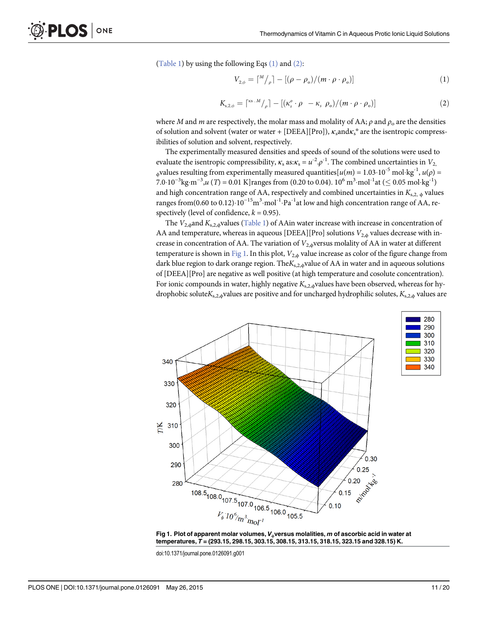$(Table 1)$  by using the following Eqs  $(1)$  and  $(2)$ :

$$
V_{2,\phi} = \lceil M/\rho \rceil - \left[ (\rho - \rho_o) / (m \cdot \rho \cdot \rho_o) \right] \tag{1}
$$

$$
K_{s,2,\phi} = \left[ \begin{matrix} \kappa s \cdot M \\ \rho \end{matrix} \right] - \left[ \left( \kappa_s^o \cdot \rho - \kappa_s \rho_o \right) / \left( m \cdot \rho \cdot \rho_o \right) \right] \tag{2}
$$

where M and m are respectively, the molar mass and molality of AA;  $\rho$  and  $\rho_0$  are the densities of solution and solvent (water or water + [DEEA][Pro]),  $\kappa_s$  and  $\kappa_s$ <sup>o</sup> are the isentropic compressibilities of solution and solvent, respectively.

The experimentally measured densities and speeds of sound of the solutions were used to evaluate the isentropic compressibility,  $\kappa_s$  as: $\kappa_s = u^{-2} \rho^{-1}$ . The combined uncertainties in  $V_2$ . <sub> $\phi$ </sub>values resulting from experimentally measured quantities[ $u(m) = 1.03 \cdot 10^{-5}$  mol·kg<sup>-1</sup>,  $u(\rho) =$ 7.0⋅10<sup>-3</sup>kg⋅m<sup>-3</sup>,u (*T*) = 0.01 K]ranges from (0.20 to 0.04). 10<sup>6</sup> m<sup>3</sup>⋅mol<sup>-1</sup>at (≤ 0.05 mol⋅kg<sup>-1</sup>) and high concentration range of AA, respectively and combined uncertainties in  $K_{s,2, \phi}$  values ranges from(0.60 to 0.12)· $10^{-15}$ m<sup>3</sup>·mol<sup>-1</sup>·Pa<sup>-1</sup>at low and high concentration range of AA, respectively (level of confidence,  $k = 0.95$ ).

The  $V_{2,\phi}$ and  $K_{s,2,\phi}$ values [\(Table 1\)](#page-3-0) of AAin water increase with increase in concentration of AA and temperature, whereas in aqueous [DEEA][Pro] solutions  $V_{2,\phi}$  values decrease with increase in concentration of AA. The variation of  $V_{2,\phi}$ versus molality of AA in water at different temperature is shown in  $Fig 1$ . In this plot,  $V_{2,\phi}$  value increase as color of the figure change from dark blue region to dark orange region. The $K_{s,2,\phi}$ value of AA in water and in aqueous solutions of [DEEA][Pro] are negative as well positive (at high temperature and cosolute concentration). For ionic compounds in water, highly negative  $K_{s,2,\phi}$  values have been observed, whereas for hydrophobic solute $K_{s,2,\phi}$ values are positive and for uncharged hydrophilic solutes,  $K_{s,2,\phi}$  values are





doi:10.1371/journal.pone.0126091.g001

PLOS ONE

| 340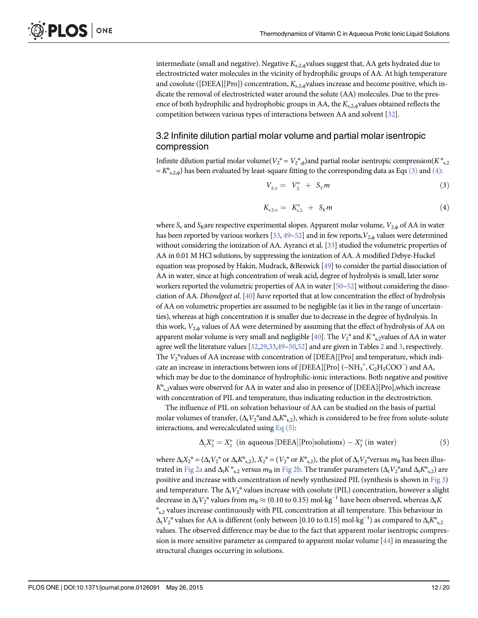<span id="page-11-0"></span>intermediate (small and negative). Negative  $K_{s,2,\phi}$ values suggest that, AA gets hydrated due to electrostricted water molecules in the vicinity of hydrophilic groups of AA. At high temperature and cosolute ([DEEA][Pro]) concentration,  $K_{s,2,\phi}$  values increase and become positive, which indicate the removal of electrostricted water around the solute (AA) molecules. Due to the presence of both hydrophilic and hydrophobic groups in AA, the  $K_{s,2,\phi}$  values obtained reflects the competition between various types of interactions between AA and solvent [[32](#page-18-0)].

#### 3.2 Infinite dilution partial molar volume and partial molar isentropic compression

Infinite dilution partial molar volume( $V_2^{\circ} = V_2^{\circ}$ ) and partial molar isentropic compression( $K^{\circ}$ <sub>s,2</sub>)  $= K^{\circ}_{s,2,\phi}$ ) has been evaluated by least-square fitting to the corresponding data as Eqs (3) and (4):

$$
V_{2,\phi} = V_2^{\circ} + S_V m \tag{3}
$$

$$
K_{s,2,\phi} = K_{s,2}^{\circ} + S_K m \tag{4}
$$

where  $S_v$  and  $S_K$  are respective experimental slopes. Apparent molar volume,  $V_{2,\phi}$  of AA in water has been reported by various workers  $[33, 49 - 52]$  $[33, 49 - 52]$  $[33, 49 - 52]$  $[33, 49 - 52]$  $[33, 49 - 52]$  $[33, 49 - 52]$  and in few reports,  $V_{2,\phi}$  values were determined without considering the ionization of AA. Ayranci et al. [\[33\]](#page-18-0) studied the volumetric properties of AA in 0.01 M HCl solutions, by suppressing the ionization of AA. A modified Debye-Huckel equation was proposed by Hakin, Mudrack, &Beswick  $[49]$  $[49]$  to consider the partial dissociation of AA in water, since at high concentration of weak acid, degree of hydrolysis is small, later some workers reported the volumetric properties of AA in water [\[50](#page-18-0)–[52\]](#page-18-0) without considering the dissociation of AA. Dhondgeet al.  $[40]$  have reported that at low concentration the effect of hydrolysis of AA on volumetric properties are assumed to be negligible (as it lies in the range of uncertainties), whereas at high concentration it is smaller due to decrease in the degree of hydrolysis. In this work,  $V_{2,\phi}$  values of AA were determined by assuming that the effect of hydrolysis of AA on apparent molar volume is very small and negligible  $[40]$  $[40]$ . The  $V_2^{\circ}$  and  $K^{\circ}_{s,2}$ values of AA in water agree well the literature values [\[32,](#page-18-0)[29](#page-17-0)[,33](#page-18-0),[49](#page-18-0)-[50,52\]](#page-18-0) and are given in Tables [2](#page-12-0) and [3,](#page-12-0) respectively. The  $V_2^{\circ}$ values of AA increase with concentration of [DEEA][Pro] and temperature, which indicate an increase in interactions between ions of [DEEA][Pro] (−NH<sub>3</sub><sup>+</sup>, C<sub>2</sub>H<sub>5</sub>COO<sup>-</sup>) and AA, which may be due to the dominance of hydrophilic-ionic interactions. Both negative and positive  $K^{\circ}_{s,2}$  values were observed for AA in water and also in presence of [DEEA][Pro], which increase with concentration of PIL and temperature, thus indicating reduction in the electrostriction.

The influence of PIL on solvation behaviour of AA can be studied on the basis of partial molar volumes of transfer,  $(\Delta_t V_2^{\circ}$  and  $\Delta_t K^{\circ}$ , which is considered to be free from solute-solute interactions, and werecalculated using  $Eq(5)$ :

$$
\Delta_t X_2^o = X_2^o \text{ (in aqueous [DEEA][Pro] solutions)} - X_2^o \text{ (in water)} \tag{5}
$$

where  $\Delta_t X_2^{\circ} = (\Delta_t V_2^{\circ} \text{ or } \Delta_t K^{\circ}, z)$ ,  $X_2^{\circ} = (V_2^{\circ} \text{ or } K^{\circ}, z)$ , the plot of  $\Delta_t V_2^{\circ}$ versus  $m_B$  has been illus-trated in [Fig 2a](#page-13-0) and  $\Delta_t K^{\circ}$ <sub>s,2</sub> versus  $m_B$  in [Fig 2b.](#page-13-0) The transfer parameters ( $\Delta_t V_2^{\circ}$  and  $\Delta_t K^{\circ}$ <sub>s,2</sub>) are positive and increase with concentration of newly synthesized PIL (synthesis is shown in [Fig 3\)](#page-13-0) and temperature. The  $\Delta_t V_2^{\circ}$  values increase with cosolute (PIL) concentration, however a slight decrease in  $\Delta_t V_2^{\circ}$  values from  $m_B \approx (0.10 \text{ to } 0.15) \text{ mol·kg}^{-1}$  have been observed, whereas  $\Delta_t K$ °s,2 values increase continuously with PIL concentration at all temperature. This behaviour in  $\Delta_{\rm t}V_2^{\rm o}$  values for AA is different (only between [0.10 to 0.15] mol·kg<sup>−1</sup>) as compared to  $\Delta_{\rm t}K^{\rm o}_{\rm s,2}$ values. The observed difference may be due to the fact that apparent molar isentropic compression is more sensitive parameter as compared to apparent molar volume  $[44]$  $[44]$  $[44]$  in measuring the structural changes occurring in solutions.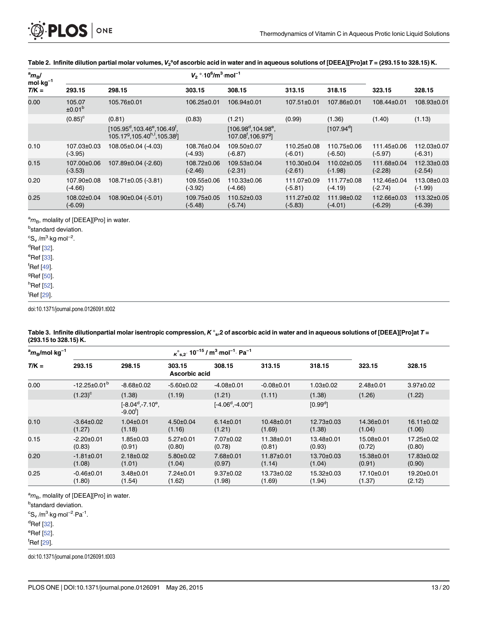<span id="page-12-0"></span>

|                                      | Table 2. Infinite dilution partial molar volumes, $V_2$ <sup>o</sup> of ascorbic acid in water and in aqueous solutions of [DEEA][Pro]at T = (293.15 to 328.15) K. |                                                                                                       |                                                           |                                                                                   |                          |                          |                          |                          |  |  |
|--------------------------------------|--------------------------------------------------------------------------------------------------------------------------------------------------------------------|-------------------------------------------------------------------------------------------------------|-----------------------------------------------------------|-----------------------------------------------------------------------------------|--------------------------|--------------------------|--------------------------|--------------------------|--|--|
| $\mathrm{^{a}m_{B}}$ /<br>$mol·kg-1$ |                                                                                                                                                                    |                                                                                                       | $V_2$ ° 10 <sup>6</sup> /m <sup>3</sup> mol <sup>-1</sup> |                                                                                   |                          |                          |                          |                          |  |  |
| $T/K =$                              | 293.15                                                                                                                                                             | 298.15                                                                                                | 303.15                                                    | 308.15                                                                            | 313.15                   | 318.15                   | 323.15                   | 328.15                   |  |  |
| 0.00                                 | 105.07<br>±0.01 <sup>b</sup>                                                                                                                                       | 105.76±0.01                                                                                           | 106.25±0.01                                               | 106.94±0.01                                                                       | 107.51±0.01              | 107.86±0.01              | 108.44±0.01              | 108.93±0.01              |  |  |
| $(0.85)^{\circ}$<br>(0.81)           |                                                                                                                                                                    |                                                                                                       | (0.83)                                                    | (1.21)                                                                            | (0.99)                   | (1.36)                   | (1.40)                   | (1.13)                   |  |  |
|                                      |                                                                                                                                                                    | $[105.95^d, 103.46^e, 106.49^f,$<br>105.17 <sup>9</sup> ,105.40 <sup>h,1</sup> ,105.38 <sup>j</sup> ] |                                                           | $[106.98^{\circ}, 104.98^{\circ}]$<br>107.08 <sup>f</sup> , 106.97 <sup>9</sup> ] |                          | $[107.94^{\circ}]$       |                          |                          |  |  |
| 0.10                                 | 107.03±0.03<br>$(-3.95)$                                                                                                                                           | 108.05±0.04 (-4.03)                                                                                   | 108.76±0.04<br>(-4.93)                                    | 109.50±0.07<br>$(-6.87)$                                                          | 110.25±0.08<br>(-6.01)   | 110.75±0.06<br>$(-6.50)$ | 111.45±0.06<br>$(-5.97)$ | 112.03±0.07<br>$(-6.31)$ |  |  |
| 0.15                                 | 107.00±0.06<br>$(-3.53)$                                                                                                                                           | 107.89±0.04 (-2.60)                                                                                   | 108.72±0.06<br>$(-2.46)$                                  | 109.53±0.04<br>$(-2.31)$                                                          | 110.30±0.04<br>$(-2.61)$ | 110.02±0.05<br>$(-1.98)$ | 111.68±0.04<br>$(-2.28)$ | 112.33±0.03<br>$(-2.54)$ |  |  |
| 0.20                                 | 107.90±0.08<br>$(-4.66)$                                                                                                                                           | $108.71\pm0.05$ (-3.81)                                                                               | 109.55±0.06<br>$(-3.92)$                                  | 110.33±0.06<br>$(-4.66)$                                                          | 111.07±0.09<br>$(-5.81)$ | 111.77±0.08<br>$(-4.19)$ | 112.46±0.04<br>$(-2.74)$ | 113.08±0.03<br>$(-1.99)$ |  |  |
| 0.25                                 | 108.02±0.04<br>$(-6.09)$                                                                                                                                           | 108.90±0.04 (-5.01)                                                                                   | 109.75±0.05<br>$(-5.48)$                                  | 110.52±0.03<br>$(-5.74)$                                                          | 111.27±0.02<br>$(-5.83)$ | 111.98±0.02<br>$(-4.01)$ | 112.66±0.03<br>$(-6.29)$ | 113.32±0.05<br>$(-6.39)$ |  |  |

<sup>a</sup>m<sub>B</sub>, molality of [DEEA][Pro] in water.

<sup>b</sup>standard deviation.  ${}^cS_v$  /m<sup>3</sup>·kg·mol<sup>-2</sup>. olality or <sub>[</sub><br>trd deviat<br>∙kg·mol<sup>−2</sup> <sup>d</sup>Ref [\[32\]](#page-18-0). <sup>e</sup>Ref [\[33\]](#page-18-0). f Ref [\[49](#page-18-0)]. <sup>g</sup>Ref [\[50\]](#page-18-0). <sup>h</sup>Ref <u>[52</u>].

<sup>i</sup>Ref [<u>29</u>].

doi:10.1371/journal.pone.0126091.t002

#### [Table 3.](#page-11-0) Infinite dilutionpartial molar isentropic compression, K°<sub>s</sub>,2 of ascorbic acid in water and in aqueous solutions of [DEEA][Pro]at T = (293.15 to 328.15) K.

|                                                  | 1299. 19 10 920. 191 N.    |                                                   |                           |                                                                                       |                            |                      |                      |                      |  |  |
|--------------------------------------------------|----------------------------|---------------------------------------------------|---------------------------|---------------------------------------------------------------------------------------|----------------------------|----------------------|----------------------|----------------------|--|--|
| $\mathrm{^{a}m_{\mathrm{B}}/mol\cdot$ kg $^{-1}$ |                            |                                                   |                           | $\kappa$ °s.2' 10 <sup>-15</sup> / m <sup>3</sup> ·mol <sup>-1</sup> Pa <sup>-1</sup> |                            |                      |                      |                      |  |  |
| $T/K =$                                          | 293.15                     | 298.15                                            | 303.15<br>Ascorbic acid   | 308.15                                                                                | 313.15                     | 318.15               | 323.15               | 328.15               |  |  |
| 0.00                                             | $-12.25\pm0.01^{b}$        | $-8.68 \pm 0.02$                                  | $-5.60 \pm 0.02$          | $-4.08 \pm 0.01$                                                                      | $-0.08 \pm 0.01$           | $1.03 \pm 0.02$      | $2.48 \pm 0.01$      | $3.97 \pm 0.02$      |  |  |
|                                                  | $(1.23)^c$                 | (1.38)                                            | (1.19)                    | (1.21)                                                                                | (1.11)                     | (1.38)               | (1.26)               | (1.22)               |  |  |
|                                                  |                            | $[-8.04^{\circ}, -7.10^{\circ}]$<br>$-9.00^{t}$ ] |                           | $[-4.06^{\circ}, -4.00^{\circ}]$                                                      |                            | $[0.99^{\circ}]$     |                      |                      |  |  |
| 0.10                                             | $-3.64 \pm 0.02$<br>(1.27) | $1.04 \pm 0.01$<br>(1.18)                         | $4.50 \pm 0.04$<br>(1.16) | $6.14 \pm 0.01$<br>(1.21)                                                             | $10.48 \pm 0.01$<br>(1.69) | 12.73±0.03<br>(1.38) | 14.36±0.01<br>(1.04) | 16.11±0.02<br>(1.06) |  |  |
| 0.15                                             | $-2.20 \pm 0.01$<br>(0.83) | $1.85 \pm 0.03$<br>(0.91)                         | $5.27 \pm 0.01$<br>(0.80) | 7.07±0.02<br>(0.78)                                                                   | 11.38±0.01<br>(0.81)       | 13.48±0.01<br>(0.93) | 15.08±0.01<br>(0.72) | 17.25±0.02<br>(0.80) |  |  |
| 0.20                                             | $-1.81 \pm 0.01$<br>(1.08) | $2.18 \pm 0.02$<br>(1.01)                         | $5.80 \pm 0.02$<br>(1.04) | 7.68±0.01<br>(0.97)                                                                   | 11.87±0.01<br>(1.14)       | 13.70±0.03<br>(1.04) | 15.38±0.01<br>(0.91) | 17.83±0.02<br>(0.90) |  |  |
| 0.25                                             | $-0.46 \pm 0.01$<br>(1.80) | $3.48 \pm 0.01$<br>(1.54)                         | $7.24 \pm 0.01$<br>(1.62) | $9.37 \pm 0.02$<br>(1.98)                                                             | 13.73±0.02<br>(1.69)       | 15.32±0.03<br>(1.94) | 17.10±0.01<br>(1.37) | 19.20±0.01<br>(2.12) |  |  |

<sup>a</sup>m<sub>B</sub>, molality of [DEEA][Pro] in water.

<sup>b</sup>standard deviation. olality or <sub>[</sub><br>trd deviat<br>∙kg·mol<sup>−2</sup>

 ${}^cS_v$  /m<sup>3</sup>·kg·mol<sup>-2</sup>·Pa<sup>-1</sup>.

<sup>d</sup>Ref [\[32\]](#page-18-0).

<sup>e</sup>Ref [\[52\]](#page-18-0).

<sup>f</sup>Ref [<u>29</u>].

doi:10.1371/journal.pone.0126091.t003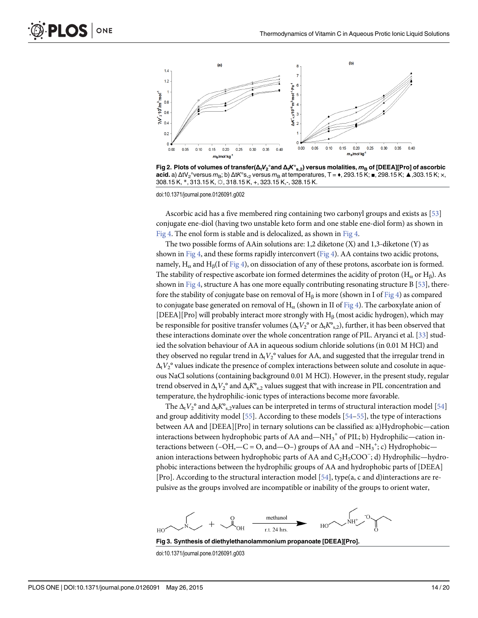<span id="page-13-0"></span>

[Fig 2. P](#page-11-0)lots of volumes of transfer( $\Delta_t V_2^{\circ}$ and  $\Delta_t K^{\circ}$ <sub>s,2</sub>) versus molalities,  $m_B$  of [DEEA][Pro] of ascorbic acid. a)  $\Delta$ tV<sub>2</sub>°versus m<sub>B</sub>; b)  $\Delta$ tK<sup>o</sup>s,<sub>2</sub> versus m<sub>B</sub> at temperatures, T =  $\bullet$ , 293.15 K; =, 298.15 K;  $\blacktriangle$ , 303.15 K;  $\times$ , 308.15 K, \*, 313.15 K, ☼, 318.15 K, +, 323.15 K,-, 328.15 K.

doi:10.1371/journal.pone.0126091.g002

Ascorbic acid has a five membered ring containing two carbonyl groups and exists as  $[53]$  $[53]$ conjugate ene-diol (having two unstable keto form and one stable ene-diol form) as shown in [Fig 4](#page-14-0). The enol form is stable and is delocalized, as shown in [Fig 4.](#page-14-0)

The two possible forms of AAin solutions are: 1,2 diketone (X) and 1,3-diketone (Y) as shown in [Fig 4](#page-14-0), and these forms rapidly interconvert [\(Fig 4\)](#page-14-0). AA contains two acidic protons, namely, H<sub>α</sub> and H<sub>β</sub>(I of [Fig 4](#page-14-0)), on dissociation of any of these protons, ascorbate ion is formed. The stability of respective ascorbate ion formed determines the acidity of proton (H<sub>α</sub> or H<sub>β</sub>). As shown in [Fig 4](#page-14-0), structure A has one more equally contributing resonating structure B [\[53\]](#page-18-0), there-fore the stability of conjugate base on removal of H<sub>β</sub> is more (shown in I of [Fig 4](#page-14-0)) as compared to conjugate base generated on removal of  $H_{\alpha}$  (shown in II of [Fig 4](#page-14-0)). The carboxylate anion of [DEEA][Pro] will probably interact more strongly with  $H_\beta$  (most acidic hydrogen), which may be responsible for positive transfer volumes ( $\Delta_t V_2^{\circ}$  or  $\Delta_t K^{\circ}$ <sub>s,2</sub>), further, it has been observed that these interactions dominate over the whole concentration range of PIL. Aryanci et al. [\[33](#page-18-0)] studied the solvation behaviour of AA in aqueous sodium chloride solutions (in 0.01 M HCl) and they observed no regular trend in  $\Delta_t V_2^{\circ}$  values for AA, and suggested that the irregular trend in  $\Delta_t V_2^{\circ}$  values indicate the presence of complex interactions between solute and cosolute in aqueous NaCl solutions (containing background 0.01 M HCl). However, in the present study, regular trend observed in  $\Delta_t V_2^{\circ}$  and  $\Delta_t K^{\circ}_{s,2}$  values suggest that with increase in PIL concentration and temperature, the hydrophilic-ionic types of interactions become more favorable.

The  $\Delta_t V_2^{\circ}$  and  $\Delta_t K^{\circ}$  values can be interpreted in terms of structural interaction model [[54\]](#page-19-0) and group additivity model  $[55]$  $[55]$  $[55]$ . According to these models  $[54–55]$  $[54–55]$ , the type of interactions between AA and [DEEA][Pro] in ternary solutions can be classified as: a)Hydrophobic—cation interactions between hydrophobic parts of AA and—NH<sub>3</sub><sup>+</sup> of PIL; b) Hydrophilic—cation interactions between (–OH,—C = O, and—O–) groups of AA and  $-NH_3^+$ ; c) Hydrophobic anion interactions between hydrophobic parts of AA and  $\rm{C_2H_5COO^-};$  d) Hydrophilic—hydrophobic interactions between the hydrophilic groups of AA and hydrophobic parts of [DEEA] [Pro]. According to the structural interaction model [\[54](#page-19-0)], type(a, c and d)interactions are repulsive as the groups involved are incompatible or inability of the groups to orient water,



[Fig 3. S](#page-11-0)ynthesis of diethylethanolammonium propanoate [DEEA][Pro].

doi:10.1371/journal.pone.0126091.g003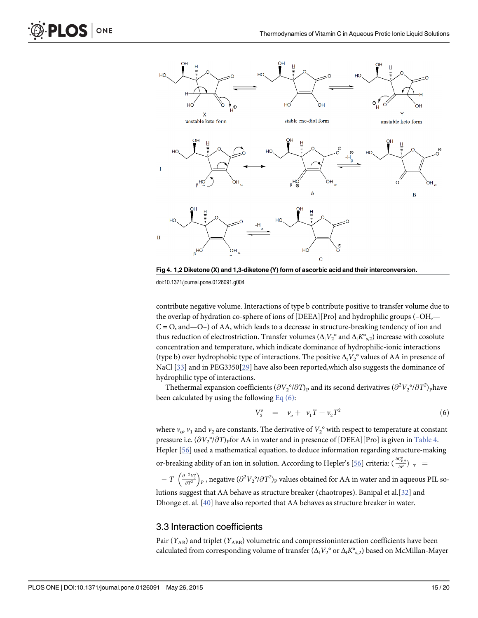

[Fig 4. 1](#page-13-0),2 Diketone (X) and 1,3-diketone (Y) form of ascorbic acid and their interconversion. doi:10.1371/journal.pone.0126091.g004

contribute negative volume. Interactions of type b contribute positive to transfer volume due to the overlap of hydration co-sphere of ions of [DEEA][Pro] and hydrophilic groups (–OH,—  $C = O$ , and  $-O$  of AA, which leads to a decrease in structure-breaking tendency of ion and thus reduction of electrostriction. Transfer volumes  $(\Delta_t V_2^{\circ}$  and  $\Delta_t K^{\circ}_{s,2})$  increase with cosolute concentration and temperature, which indicate dominance of hydrophilic-ionic interactions (type b) over hydrophobic type of interactions. The positive  $\Delta_t V_2^{\circ}$  values of AA in presence of NaCl [\[33](#page-18-0)] and in PEG3350[\[29\]](#page-17-0) have also been reported, which also suggests the dominance of hydrophilic type of interactions.

Thethermal expansion coefficients  $(\partial {V_2}^o / \partial T)_{\rm P}$  and its second derivatives  $(\partial^2 {V_2}^o / \partial T^2)_{\rm P}$ have been calculated by using the following  $Eq(6)$ :

$$
V_2^o = \nu_o + \nu_1 T + \nu_2 T^2 \tag{6}
$$

where  $v_0$ ,  $v_1$  and  $v_2$  are constants. The derivative of  $V_2^{\circ}$  with respect to temperature at constant pressure i.e.  $(\partial V_2^{\circ}/\partial T)$  for AA in water and in presence of [DEEA][Pro] is given in [Table 4.](#page-15-0) Hepler [[56\]](#page-19-0) used a mathematical equation, to deduce information regarding structure-making

or-breaking ability of an ion in solution. According to Hepler's [\[56\]](#page-19-0) criteria:  $({\delta c_{p_2} \over \delta P})_{-T}$  =

 $-\,T\,\left(\frac{\partial^{-2}V_2^o}{\partial T^2}\right)_P$  , negative  $(\partial^2V_2^o/\partial T^2)_P$  values obtained for AA in water and in aqueous PIL solutions suggest that AA behave as structure breaker (chaotropes). Banipal et al.[\[32\]](#page-18-0) and Dhonge et. al. [\[40\]](#page-18-0) have also reported that AA behaves as structure breaker in water.

#### 3.3 Interaction coefficients

Pair ( $Y_{AB}$ ) and triplet ( $Y_{ABB}$ ) volumetric and compressioninteraction coefficients have been calculated from corresponding volume of transfer  $(\Delta_t V_2^{\circ}$  or  $\Delta_t K^{\circ}_{s,2})$  based on McMillan-Mayer

<span id="page-14-0"></span>**LOS** 

ONE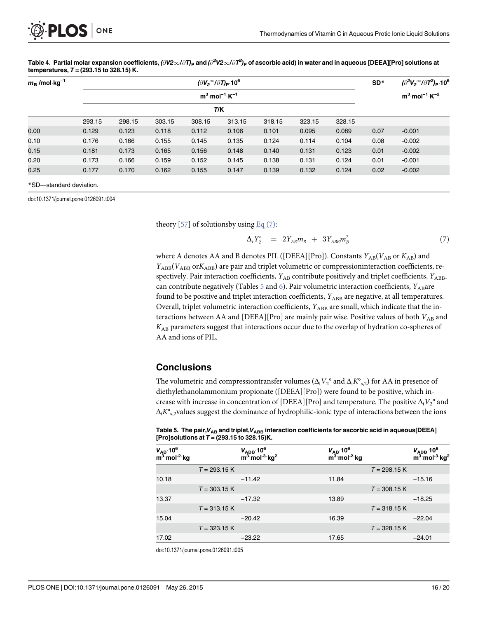<span id="page-15-0"></span>

[Table 4.](#page-14-0) Partial molar expansion coefficients, ( $\partial$ V2 $\infty$ / $\partial$ T)<sub>P</sub> and ( $\partial^2$ V2 $\infty$ / $\partial$ T $^2$ )<sub>P</sub> of ascorbic acid) in water and in aqueous [DEEA][Pro] solutions at

| temperatures, $T = (293.15 \text{ to } 328.15) \text{ K.}$ |        |                                                         |        |        |        |        |        |        |                 |                                                                           |
|------------------------------------------------------------|--------|---------------------------------------------------------|--------|--------|--------|--------|--------|--------|-----------------|---------------------------------------------------------------------------|
| $m_{\rm B}$ /mol·kg <sup>-1</sup>                          |        | $(\partial V_2^{\infty}/\partial T)_P$ .10 <sup>6</sup> |        |        |        |        |        |        | SD <sup>*</sup> | $\langle \partial^2 V_2^{\infty}/\partial T^2 \rangle_P$ .10 <sup>6</sup> |
|                                                            |        | $m^3$ ·mol <sup>-1</sup> ·K <sup>-1</sup>               |        |        |        |        |        |        |                 | $m^3 \cdot mol^{-1} \cdot K^{-2}$                                         |
|                                                            | T/K    |                                                         |        |        |        |        |        |        |                 |                                                                           |
|                                                            | 293.15 | 298.15                                                  | 303.15 | 308.15 | 313.15 | 318.15 | 323.15 | 328.15 |                 |                                                                           |
| 0.00                                                       | 0.129  | 0.123                                                   | 0.118  | 0.112  | 0.106  | 0.101  | 0.095  | 0.089  | 0.07            | $-0.001$                                                                  |
| 0.10                                                       | 0.176  | 0.166                                                   | 0.155  | 0.145  | 0.135  | 0.124  | 0.114  | 0.104  | 0.08            | $-0.002$                                                                  |
| 0.15                                                       | 0.181  | 0.173                                                   | 0.165  | 0.156  | 0.148  | 0.140  | 0.131  | 0.123  | 0.01            | $-0.002$                                                                  |
| 0.20                                                       | 0.173  | 0.166                                                   | 0.159  | 0.152  | 0.145  | 0.138  | 0.131  | 0.124  | 0.01            | $-0.001$                                                                  |
| 0.25                                                       | 0.177  | 0.170                                                   | 0.162  | 0.155  | 0.147  | 0.139  | 0.132  | 0.124  | 0.02            | $-0.002$                                                                  |

\*SD—standard deviation.

doi:10.1371/journal.pone.0126091.t004

theory  $[57]$  $[57]$  of solutionsby using Eq  $(7)$ :

$$
\Delta_t Y_2^o = 2Y_{AB} m_B + 3Y_{ABB} m_B^2 \tag{7}
$$

where A denotes AA and B denotes PIL ([DEEA][Pro]). Constants  $Y_{AB}(V_{AB}$  or  $K_{AB})$  and  $Y_{ABB}(V_{ABB}$  or $K_{ABB}$ ) are pair and triplet volumetric or compressioninteraction coefficients, respectively. Pair interaction coefficients,  $Y_{AB}$  contribute positively and triplet coefficients,  $Y_{ABB}$ . can contribute negatively (Tables  $\frac{5}{2}$  and  $\frac{6}{2}$  $\frac{6}{2}$  $\frac{6}{2}$ ). Pair volumetric interaction coefficients,  $Y_{AB}$ are found to be positive and triplet interaction coefficients,  $Y_{ABB}$  are negative, at all temperatures. Overall, triplet volumetric interaction coefficients, YABB are small, which indicate that the interactions between AA and [DEEA][Pro] are mainly pair wise. Positive values of both  $V_{AB}$  and  $K_{AB}$  parameters suggest that interactions occur due to the overlap of hydration co-spheres of AA and ions of PIL.

#### **Conclusions**

The volumetric and compressiontransfer volumes ( $\Delta_t V_2^{\circ}$  and  $\Delta_t K^{\circ}$ <sub>s,2</sub>) for AA in presence of diethylethanolammonium propionate ([DEEA][Pro]) were found to be positive, which increase with increase in concentration of [DEEA][Pro] and temperature. The positive  $\Delta_t V_2^{\circ}$  and  $\Delta_{t}K^{o}$ <sub>s.2</sub>values suggest the dominance of hydrophilic-ionic type of interactions between the ions

Table 5. The pair,  $V_{\text{AR}}$  and triplet,  $V_{\text{AR}}$  interaction coefficients for ascorbic acid in aqueous[DEEA] [Pro]solutions at  $T = (293.15 \text{ to } 328.15) \text{K}.$ 

| $V_{AB}$ 10 <sup>6</sup><br>m <sup>3</sup> mol <sup>-2</sup> kg |                | $V_{ABB}$ 10 <sup>6</sup><br>$m^3$ mol <sup>-3</sup> kg <sup>2</sup> | $V_{AB}$ 10 <sup>6</sup><br>m <sup>3</sup> mol <sup>-2</sup> kg |                | $V_{\rm ABB}$ .10 <sup>6</sup><br>$m^3$ mol <sup>-3</sup> kg <sup>2</sup> |
|-----------------------------------------------------------------|----------------|----------------------------------------------------------------------|-----------------------------------------------------------------|----------------|---------------------------------------------------------------------------|
|                                                                 | $T = 293.15 K$ |                                                                      |                                                                 | $T = 298.15$ K |                                                                           |
| 10.18                                                           |                | $-11.42$                                                             | 11.84                                                           |                | $-15.16$                                                                  |
|                                                                 | $T = 303.15 K$ |                                                                      |                                                                 | $T = 308.15$ K |                                                                           |
| 13.37                                                           |                | $-17.32$                                                             | 13.89                                                           |                | $-18.25$                                                                  |
|                                                                 | $T = 313.15 K$ |                                                                      |                                                                 | $T = 318.15$ K |                                                                           |
| 15.04                                                           |                | $-20.42$                                                             | 16.39                                                           |                | $-22.04$                                                                  |
|                                                                 | $T = 323.15 K$ |                                                                      |                                                                 | $T = 328.15$ K |                                                                           |
| 17.02                                                           |                | $-23.22$                                                             | 17.65                                                           |                | $-24.01$                                                                  |

doi:10.1371/journal.pone.0126091.t005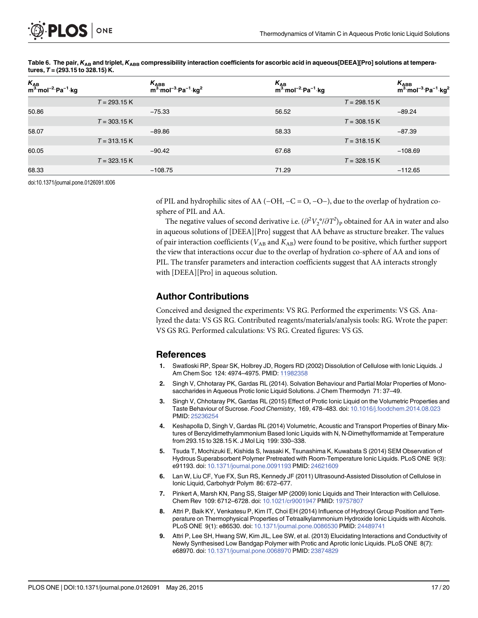| K <sub>AB</sub><br>m <sup>3.</sup> mol <sup>-2.</sup> Pa <sup>-1.</sup> kg |                | $K_{\text{ABB}}$<br>m <sup>3.</sup> mol <sup>-3.</sup> Pa <sup>-1.</sup> kg <sup>2</sup> | $K_{AB}$<br>m <sup>3</sup> ·mol <sup>-2</sup> ·Pa <sup>-1</sup> ·kg |                | $K_{ABB}$<br>m <sup>3</sup> ·mol <sup>-3</sup> ·Pa <sup>-1</sup> ·kg <sup>2</sup> |
|----------------------------------------------------------------------------|----------------|------------------------------------------------------------------------------------------|---------------------------------------------------------------------|----------------|-----------------------------------------------------------------------------------|
|                                                                            | $T = 293.15 K$ |                                                                                          |                                                                     | $T = 298.15 K$ |                                                                                   |
| 50.86                                                                      |                | $-75.33$                                                                                 | 56.52                                                               |                | $-89.24$                                                                          |
|                                                                            | $T = 303.15$ K |                                                                                          |                                                                     | $T = 308.15 K$ |                                                                                   |
| 58.07                                                                      |                | $-89.86$                                                                                 | 58.33                                                               |                | $-87.39$                                                                          |
|                                                                            | $T = 313.15 K$ |                                                                                          |                                                                     | $T = 318.15 K$ |                                                                                   |
| 60.05                                                                      |                | $-90.42$                                                                                 | 67.68                                                               |                | $-108.69$                                                                         |
|                                                                            | $T = 323.15 K$ |                                                                                          |                                                                     | $T = 328.15 K$ |                                                                                   |
| 68.33                                                                      |                | $-108.75$                                                                                | 71.29                                                               |                | $-112.65$                                                                         |

<span id="page-16-0"></span>[Table 6.](#page-15-0) The pair,  $K_{AB}$  and triplet,  $K_{ABB}$  compressibility interaction coefficients for ascorbic acid in aqueous[DEEA][Pro] solutions at temperatures,  $T = (293.15 \text{ to } 328.15) \text{ K.}$ 

doi:10.1371/journal.pone.0126091.t006

of PIL and hydrophilic sites of AA (−OH, −C = O, −O−), due to the overlap of hydration cosphere of PIL and AA.

The negative values of second derivative i.e.  $(\partial^2 V_2^{\,\mathrm{o}}/\partial T^2)_\text{P}$  obtained for AA in water and also in aqueous solutions of [DEEA][Pro] suggest that AA behave as structure breaker. The values of pair interaction coefficients ( $V_{AB}$  and  $K_{AB}$ ) were found to be positive, which further support the view that interactions occur due to the overlap of hydration co-sphere of AA and ions of PIL. The transfer parameters and interaction coefficients suggest that AA interacts strongly with [DEEA][Pro] in aqueous solution.

#### Author Contributions

Conceived and designed the experiments: VS RG. Performed the experiments: VS GS. Analyzed the data: VS GS RG. Contributed reagents/materials/analysis tools: RG. Wrote the paper: VS GS RG. Performed calculations: VS RG. Created figures: VS GS.

#### References

- [1.](#page-0-0) Swatloski RP, Spear SK, Holbrey JD, Rogers RD (2002) Dissolution of Cellulose with Ionic Liquids. J Am Chem Soc 124: 4974-4975. PMID: [11982358](http://www.ncbi.nlm.nih.gov/pubmed/11982358)
- 2. Singh V, Chhotaray PK, Gardas RL (2014). Solvation Behaviour and Partial Molar Properties of Monosaccharides in Aqueous Protic Ionic Liquid Solutions. J Chem Thermodyn 71: 37–49.
- [3.](#page-2-0) Singh V, Chhotaray PK, Gardas RL (2015) Effect of Protic Ionic Liquid on the Volumetric Properties and Taste Behaviour of Sucrose. Food Chemistry, 169, 478–483. doi: [10.1016/j.foodchem.2014.08.023](http://dx.doi.org/10.1016/j.foodchem.2014.08.023) PMID: [25236254](http://www.ncbi.nlm.nih.gov/pubmed/25236254)
- 4. Keshapolla D, Singh V, Gardas RL (2014) Volumetric, Acoustic and Transport Properties of Binary Mixtures of Benzyldimethylammonium Based Ionic Liquids with N, N-Dimethylformamide at Temperature from 293.15 to 328.15 K. J Mol Liq 199: 330–338.
- [5.](#page-0-0) Tsuda T, Mochizuki E, Kishida S, Iwasaki K, Tsunashima K, Kuwabata S (2014) SEM Observation of Hydrous Superabsorbent Polymer Pretreated with Room-Temperature Ionic Liquids. PLoS ONE 9(3): e91193. doi: [10.1371/journal.pone.0091193](http://dx.doi.org/10.1371/journal.pone.0091193) PMID: [24621609](http://www.ncbi.nlm.nih.gov/pubmed/24621609)
- [6.](#page-0-0) Lan W, Liu CF, Yue FX, Sun RS, Kennedy JF (2011) Ultrasound-Assisted Dissolution of Cellulose in Ionic Liquid, Carbohydr Polym 86: 672–677.
- 7. Pinkert A, Marsh KN, Pang SS, Staiger MP (2009) Ionic Liquids and Their Interaction with Cellulose. Chem Rev 109: 6712–6728. doi: [10.1021/cr9001947](http://dx.doi.org/10.1021/cr9001947) PMID: [19757807](http://www.ncbi.nlm.nih.gov/pubmed/19757807)
- 8. Attri P, Baik KY, Venkatesu P, Kim IT, Choi EH (2014) Influence of Hydroxyl Group Position and Temperature on Thermophysical Properties of Tetraalkylammonium Hydroxide Ionic Liquids with Alcohols. PLoS ONE 9(1): e86530. doi: [10.1371/journal.pone.0086530](http://dx.doi.org/10.1371/journal.pone.0086530) PMID: [24489741](http://www.ncbi.nlm.nih.gov/pubmed/24489741)
- 9. Attri P, Lee SH, Hwang SW, Kim JIL, Lee SW, et al. (2013) Elucidating Interactions and Conductivity of Newly Synthesised Low Bandgap Polymer with Protic and Aprotic Ionic Liquids. PLoS ONE 8(7): e68970. doi: [10.1371/journal.pone.0068970](http://dx.doi.org/10.1371/journal.pone.0068970) PMID: [23874829](http://www.ncbi.nlm.nih.gov/pubmed/23874829)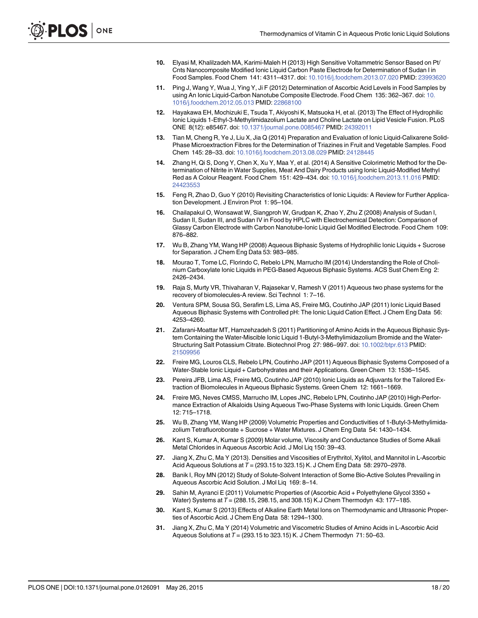- <span id="page-17-0"></span>[10.](#page-0-0) Elyasi M, Khalilzadeh MA, Karimi-Maleh H (2013) High Sensitive Voltammetric Sensor Based on Pt/ Cnts Nanocomposite Modified Ionic Liquid Carbon Paste Electrode for Determination of Sudan I in Food Samples. Food Chem 141: 4311–4317. doi: [10.1016/j.foodchem.2013.07.020](http://dx.doi.org/10.1016/j.foodchem.2013.07.020) PMID: [23993620](http://www.ncbi.nlm.nih.gov/pubmed/23993620)
- [11.](#page-0-0) Ping J, Wang Y, Wua J, Ying Y, Ji F (2012) Determination of Ascorbic Acid Levels in Food Samples by using An Ionic Liquid-Carbon Nanotube Composite Electrode. Food Chem 135: 362–367. doi: [10.](http://dx.doi.org/10.1016/j.foodchem.2012.05.013) [1016/j.foodchem.2012.05.013](http://dx.doi.org/10.1016/j.foodchem.2012.05.013) PMID: [22868100](http://www.ncbi.nlm.nih.gov/pubmed/22868100)
- [12.](#page-0-0) Hayakawa EH, Mochizuki E, Tsuda T, Akiyoshi K, Matsuoka H, et al. (2013) The Effect of Hydrophilic Ionic Liquids 1-Ethyl-3-Methylimidazolium Lactate and Choline Lactate on Lipid Vesicle Fusion. PLoS ONE 8(12): e85467. doi: [10.1371/journal.pone.0085467](http://dx.doi.org/10.1371/journal.pone.0085467) PMID: [24392011](http://www.ncbi.nlm.nih.gov/pubmed/24392011)
- [13.](#page-0-0) Tian M, Cheng R, Ye J, Liu X, Jia Q (2014) Preparation and Evaluation of Ionic Liquid-Calixarene Solid-Phase Microextraction Fibres for the Determination of Triazines in Fruit and Vegetable Samples. Food Chem 145: 28–33. doi: [10.1016/j.foodchem.2013.08.029](http://dx.doi.org/10.1016/j.foodchem.2013.08.029) PMID: [24128445](http://www.ncbi.nlm.nih.gov/pubmed/24128445)
- 14. Zhang H, Qi S, Dong Y, Chen X, Xu Y, Maa Y, et al. (2014) A Sensitive Colorimetric Method for the Determination of Nitrite in Water Supplies, Meat And Dairy Products using Ionic Liquid-Modified Methyl Red as A Colour Reagent. Food Chem 151: 429–434. doi: [10.1016/j.foodchem.2013.11.016](http://dx.doi.org/10.1016/j.foodchem.2013.11.016) PMID: [24423553](http://www.ncbi.nlm.nih.gov/pubmed/24423553)
- [15.](#page-0-0) Feng R, Zhao D, Guo Y (2010) Revisiting Characteristics of Ionic Liquids: A Review for Further Application Development. J Environ Prot 1: 95–104.
- [16.](#page-0-0) Chailapakul O, Wonsawat W, Siangproh W, Grudpan K, Zhao Y, Zhu Z (2008) Analysis of Sudan I, Sudan II, Sudan III, and Sudan IV in Food by HPLC with Electrochemical Detection: Comparison of Glassy Carbon Electrode with Carbon Nanotube-Ionic Liquid Gel Modified Electrode. Food Chem 109: 876–882.
- [17.](#page-0-0) Wu B, Zhang YM, Wang HP (2008) Aqueous Biphasic Systems of Hydrophilic Ionic Liquids + Sucrose for Separation. J Chem Eng Data 53: 983–985.
- [18.](#page-0-0) Mourao T, Tome LC, Florindo C, Rebelo LPN, Marrucho IM (2014) Understanding the Role of Cholinium Carboxylate Ionic Liquids in PEG-Based Aqueous Biphasic Systems. ACS Sust Chem Eng 2: 2426–2434.
- [19.](#page-1-0) Raja S, Murty VR, Thivaharan V, Rajasekar V, Ramesh V (2011) Aqueous two phase systems for the recovery of biomolecules-A review. Sci Technol 1: 7–16.
- 20. Ventura SPM, Sousa SG, Serafim LS, Lima AS, Freire MG, Coutinho JAP (2011) Ionic Liquid Based Aqueous Biphasic Systems with Controlled pH: The Ionic Liquid Cation Effect. J Chem Eng Data 56: 4253–4260.
- 21. Zafarani-Moattar MT, Hamzehzadeh S (2011) Partitioning of Amino Acids in the Aqueous Biphasic System Containing the Water-Miscible Ionic Liquid 1-Butyl-3-Methylimidazolium Bromide and the Water-Structuring Salt Potassium Citrate. Biotechnol Prog 27: 986–997. doi: [10.1002/btpr.613](http://dx.doi.org/10.1002/btpr.613) PMID: [21509956](http://www.ncbi.nlm.nih.gov/pubmed/21509956)
- 22. Freire MG, Louros CLS, Rebelo LPN, Coutinho JAP (2011) Aqueous Biphasic Systems Composed of a Water-Stable Ionic Liquid + Carbohydrates and their Applications. Green Chem 13: 1536–1545.
- 23. Pereira JFB, Lima AS, Freire MG, Coutinho JAP (2010) Ionic Liquids as Adjuvants for the Tailored Extraction of Biomolecules in Aqueous Biphasic Systems. Green Chem 12: 1661–1669.
- [24.](#page-1-0) Freire MG, Neves CMSS, Marrucho IM, Lopes JNC, Rebelo LPN, Coutinho JAP (2010) High-Performance Extraction of Alkaloids Using Aqueous Two-Phase Systems with Ionic Liquids. Green Chem 12: 715–1718.
- [25.](#page-1-0) Wu B, Zhang YM, Wang HP (2009) Volumetric Properties and Conductivities of 1-Butyl-3-Methylimidazolium Tetrafluoroborate + Sucrose + Water Mixtures. J Chem Eng Data 54: 1430–1434.
- [26.](#page-1-0) Kant S, Kumar A, Kumar S (2009) Molar volume, Viscosity and Conductance Studies of Some Alkali Metal Chlorides in Aqueous Ascorbic Acid. J Mol Liq 150: 39–43.
- [27.](#page-1-0) Jiang X, Zhu C, Ma Y (2013). Densities and Viscosities of Erythritol, Xylitol, and Mannitol in L-Ascorbic Acid Aqueous Solutions at  $T = (293.15 \text{ to } 323.15) \text{ K}$ . J Chem Eng Data 58: 2970–2978.
- 28. Banik I, Roy MN (2012) Study of Solute-Solvent Interaction of Some Bio-Active Solutes Prevailing in Aqueous Ascorbic Acid Solution. J Mol Liq 169: 8–14.
- [29.](#page-11-0) Sahin M, Ayranci E (2011) Volumetric Properties of (Ascorbic Acid + Polyethylene Glycol 3350 + Water) Systems at T = (288.15, 298.15, and 308.15) K.J Chem Thermodyn 43: 177–185.
- 30. Kant S, Kumar S (2013) Effects of Alkaline Earth Metal Ions on Thermodynamic and Ultrasonic Properties of Ascorbic Acid. J Chem Eng Data 58: 1294–1300.
- [31.](#page-1-0) Jiang X, Zhu C, Ma Y (2014) Volumetric and Viscometric Studies of Amino Acids in L-Ascorbic Acid Aqueous Solutions at  $T = (293.15 \text{ to } 323.15) \text{ K}$ . J Chem Thermodyn 71: 50–63.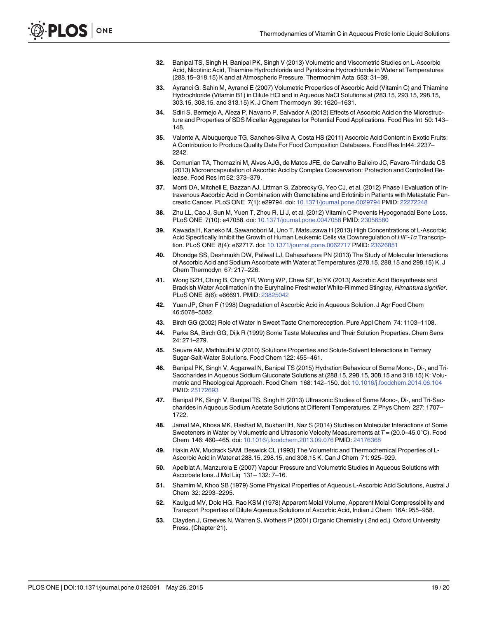- <span id="page-18-0"></span>[32.](#page-1-0) Banipal TS, Singh H, Banipal PK, Singh V (2013) Volumetric and Viscometric Studies on L-Ascorbic Acid, Nicotinic Acid, Thiamine Hydrochloride and Pyridoxine Hydrochloride in Water at Temperatures (288.15–318.15) K and at Atmospheric Pressure. Thermochim Acta 553: 31–39.
- [33.](#page-1-0) Ayranci G, Sahin M, Ayranci E (2007) Volumetric Properties of Ascorbic Acid (Vitamin C) and Thiamine Hydrochloride (Vitamin B1) in Dilute HCl and in Aqueous NaCl Solutions at (283.15, 293.15, 298.15, 303.15, 308.15, and 313.15) K. J Chem Thermodyn 39: 1620–1631.
- [34.](#page-1-0) Sdiri S, Bermejo A, Aleza P, Navarro P, Salvador A (2012) Effects of Ascorbic Acid on the Microstructure and Properties of SDS Micellar Aggregates for Potential Food Applications. Food Res Int 50: 143– 148.
- 35. Valente A, Albuquerque TG, Sanches-Silva A, Costa HS (2011) Ascorbic Acid Content in Exotic Fruits: A Contribution to Produce Quality Data For Food Composition Databases. Food Res Int44: 2237– 2242.
- 36. Comunian TA, Thomazini M, Alves AJG, de Matos JFE, de Carvalho Balieiro JC, Favaro-Trindade CS (2013) Microencapsulation of Ascorbic Acid by Complex Coacervation: Protection and Controlled Release. Food Res Int 52: 373–379.
- 37. Monti DA, Mitchell E, Bazzan AJ, Littman S, Zabrecky G, Yeo CJ, et al. (2012) Phase I Evaluation of Intravenous Ascorbic Acid in Combination with Gemcitabine and Erlotinib in Patients with Metastatic Pancreatic Cancer. PLoS ONE 7(1): e29794. doi: [10.1371/journal.pone.0029794](http://dx.doi.org/10.1371/journal.pone.0029794) PMID: [22272248](http://www.ncbi.nlm.nih.gov/pubmed/22272248)
- 38. Zhu LL, Cao J, Sun M, Yuen T, Zhou R, Li J, et al. (2012) Vitamin C Prevents Hypogonadal Bone Loss. PLoS ONE 7(10): e47058. doi: [10.1371/journal.pone.0047058](http://dx.doi.org/10.1371/journal.pone.0047058) PMID: [23056580](http://www.ncbi.nlm.nih.gov/pubmed/23056580)
- [39.](#page-1-0) Kawada H, Kaneko M, Sawanobori M, Uno T, Matsuzawa H (2013) High Concentrations of L-Ascorbic Acid Specifically Inhibit the Growth of Human Leukemic Cells via Downregulation of HIF-1α Transcription. PLoS ONE 8(4): e62717. doi: [10.1371/journal.pone.0062717](http://dx.doi.org/10.1371/journal.pone.0062717) PMID: [23626851](http://www.ncbi.nlm.nih.gov/pubmed/23626851)
- [40.](#page-1-0) Dhondge SS, Deshmukh DW, Paliwal LJ, Dahasahasra PN (2013) The Study of Molecular Interactions of Ascorbic Acid and Sodium Ascorbate with Water at Temperatures (278.15, 288.15 and 298.15) K. J Chem Thermodyn 67: 217–226.
- [41.](#page-1-0) Wong SZH, Ching B, Chng YR, Wong WP, Chew SF, Ip YK (2013) Ascorbic Acid Biosynthesis and Brackish Water Acclimation in the Euryhaline Freshwater White-Rimmed Stingray, Himantura signifier. PLoS ONE 8(6): e66691. PMID: [23825042](http://www.ncbi.nlm.nih.gov/pubmed/23825042)
- [42.](#page-1-0) Yuan JP, Chen F (1998) Degradation of Ascorbic Acid in Aqueous Solution. J Agr Food Chem 46:5078–5082.
- [43.](#page-2-0) Birch GG (2002) Role of Water in Sweet Taste Chemoreception. Pure Appl Chem 74: 1103–1108.
- [44.](#page-2-0) Parke SA, Birch GG, Dijk R (1999) Some Taste Molecules and Their Solution Properties. Chem Sens 24: 271–279.
- [45.](#page-2-0) Seuvre AM, Mathlouthi M (2010) Solutions Properties and Solute-Solvent Interactions in Ternary Sugar-Salt-Water Solutions. Food Chem 122: 455–461.
- 46. Banipal PK, Singh V, Aggarwal N, Banipal TS (2015) Hydration Behaviour of Some Mono-, Di-, and Tri-Saccharides in Aqueous Sodium Gluconate Solutions at (288.15, 298.15, 308.15 and 318.15) K: Volumetric and Rheological Approach. Food Chem 168: 142–150. doi: [10.1016/j.foodchem.2014.06.104](http://dx.doi.org/10.1016/j.foodchem.2014.06.104) PMID: [25172693](http://www.ncbi.nlm.nih.gov/pubmed/25172693)
- [47.](#page-2-0) Banipal PK, Singh V, Banipal TS, Singh H (2013) Ultrasonic Studies of Some Mono-, Di-, and Tri-Saccharides in Aqueous Sodium Acetate Solutions at Different Temperatures. Z Phys Chem 227: 1707– 1722.
- [48.](#page-2-0) Jamal MA, Khosa MK, Rashad M, Bukhari IH, Naz S (2014) Studies on Molecular Interactions of Some Sweeteners in Water by Volumetric and Ultrasonic Velocity Measurements at  $T = (20.0-45.0^{\circ}C)$ . Food Chem 146: 460–465. doi: [10.1016/j.foodchem.2013.09.076](http://dx.doi.org/10.1016/j.foodchem.2013.09.076) PMID: [24176368](http://www.ncbi.nlm.nih.gov/pubmed/24176368)
- [49.](#page-11-0) Hakin AW, Mudrack SAM, Beswick CL (1993) The Volumetric and Thermochemical Properties of L-Ascorbic Acid in Water at 288.15, 298.15, and 308.15 K. Can J Chem 71: 925–929.
- [50.](#page-11-0) Apelblat A, Manzurola E (2007) Vapour Pressure and Volumetric Studies in Aqueous Solutions with Ascorbate Ions. J Mol Liq 131– 132: 7–16.
- 51. Shamim M, Khoo SB (1979) Some Physical Properties of Aqueous L-Ascorbic Acid Solutions, Austral J Chem 32: 2293–2295.
- [52.](#page-11-0) Kaulgud MV, Dole HG, Rao KSM (1978) Apparent Molal Volume, Apparent Molal Compressibility and Transport Properties of Dilute Aqueous Solutions of Ascorbic Acid, Indian J Chem 16A: 955–958.
- [53.](#page-13-0) Clayden J, Greeves N, Warren S, Wothers P (2001) Organic Chemistry ( 2nd ed.) Oxford University Press. (Chapter 21).